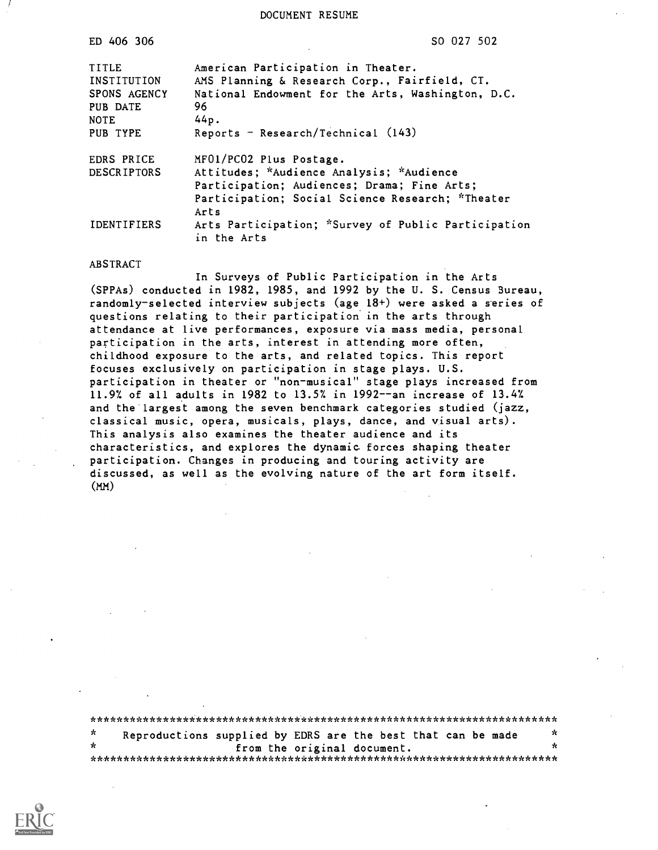DOCUMENT RESUME

| ED 406 306                                                                  | SO 027 502                                                                                                                                                                                     |
|-----------------------------------------------------------------------------|------------------------------------------------------------------------------------------------------------------------------------------------------------------------------------------------|
| TITLE<br>INSTITUTION<br>SPONS AGENCY<br>PUB DATE<br><b>NOTE</b><br>PUB TYPE | American Participation in Theater.<br>AMS Planning & Research Corp., Fairfield, CT.<br>National Endowment for the Arts, Washington, D.C.<br>96<br>44p.<br>Reports - Research/Technical $(143)$ |
| EDRS PRICE<br><b>DESCRIPTORS</b>                                            | MF01/PC02 Plus Postage.<br>Attitudes; *Audience Analysis; *Audience<br>Participation; Audiences; Drama; Fine Arts;<br>Participation; Social Science Research; *Theater                         |
| <b>IDENTIFIERS</b>                                                          | Arts<br>Arts Participation; *Survey of Public Participation<br>in the Arts                                                                                                                     |

#### ABSTRACT

In Surveys of Public Participation in the Arts (SPPAs) conducted in 1982, 1985, and 1992 by the U. S. Census Bureau, randomly-selected interview subjects (age 18+) were asked a series of questions relating to their participation in the arts through attendance at live performances, exposure via mass media, personal participation in the arts, interest in attending more often, childhood exposure to the arts, and related topics. This report focuses exclusively on participation in stage plays. U.S. participation in theater or "non-musical" stage plays increased from 11.9% of all adults in 1982 to 13.5% in 1992--an increase of 13.47. and the largest among the seven benchmark categories studied (jazz, classical music, opera, musicals, plays, dance, and visual arts). This analysis also examines the theater audience and its characteristics, and explores the dynamic forces shaping theater participation. Changes in producing and touring activity are discussed, as well as the evolving nature of the art form itself. (MM)

| $\star$ | Reproductions supplied by EDRS are the best that can be made |                             | ∗  |
|---------|--------------------------------------------------------------|-----------------------------|----|
| $\star$ |                                                              | from the original document. | ж. |
|         |                                                              |                             |    |

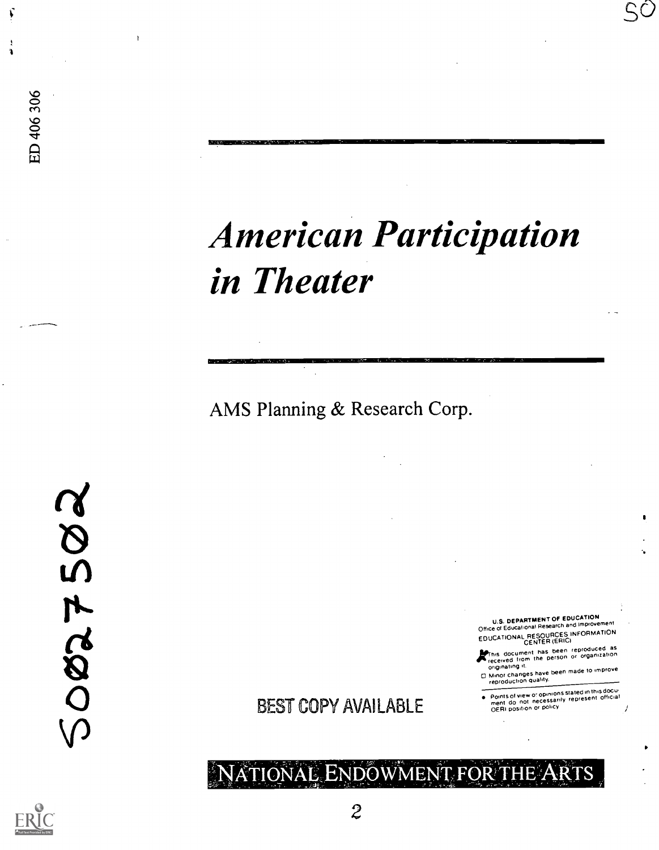# American Participation in Theater

AMS Planning & Research Corp.

 $\gamma$ O BEST C

4

 $\frac{6}{300}$ 

 $\frac{6}{10}$ 

U.S. DEPARTMENT OF EDUCATION Office of Educational Research and Improvement EDUCATIONAL RESOURCES INFORMATION

SÒ

It is document has been reproduced as<br>received from the person or organization<br>originating it.

onginaming<br>Minor changes have been made to improve<br>reproduction quality.

Points of new o' Opinions stated in this dOCu. ment do not necessarily represent official OERI position or policy

BEST COPY AVAILABLE

### IONAL ENDOWMENT FOR THE ARTS

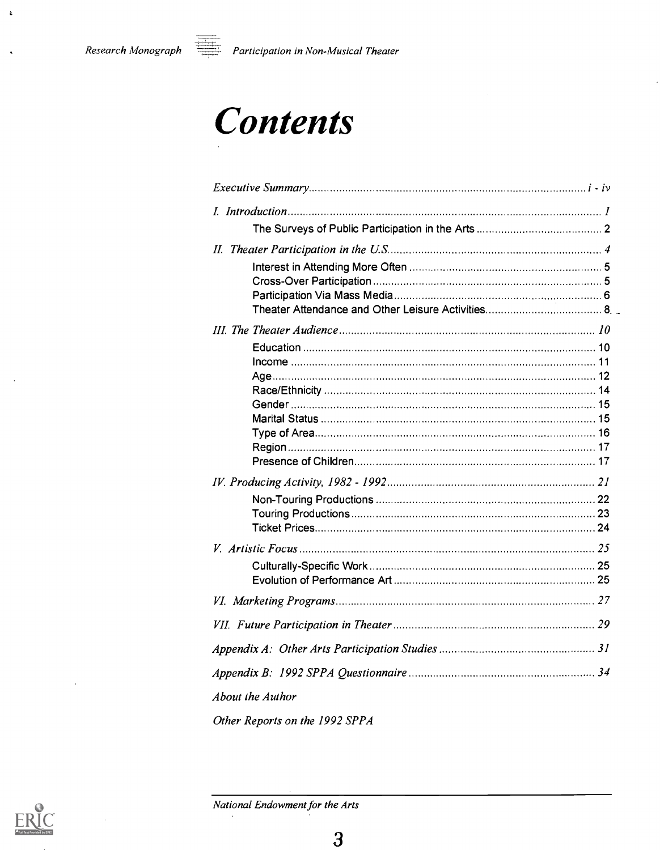$\mathbf{c}$ 

## **Contents**

| Age………………………………………………………………………………………… 12 |  |
|------------------------------------------|--|
|                                          |  |
|                                          |  |
|                                          |  |
|                                          |  |
|                                          |  |
|                                          |  |
|                                          |  |
|                                          |  |
|                                          |  |
|                                          |  |
|                                          |  |
|                                          |  |
|                                          |  |
| <b>About the Author</b>                  |  |
| Other Reports on the 1992 SPPA           |  |

National Endowment for the Arts

 $\cdot$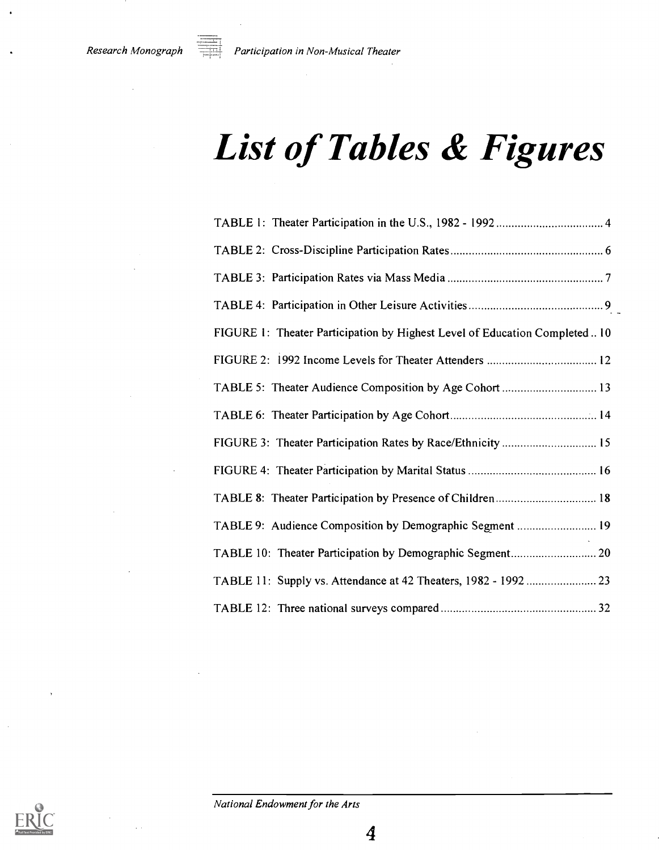## List of Tables & Figures

| FIGURE 1: Theater Participation by Highest Level of Education Completed  10 |
|-----------------------------------------------------------------------------|
|                                                                             |
| TABLE 5: Theater Audience Composition by Age Cohort  13                     |
|                                                                             |
| FIGURE 3: Theater Participation Rates by Race/Ethnicity  15                 |
|                                                                             |
| TABLE 8: Theater Participation by Presence of Children 18                   |
| TABLE 9: Audience Composition by Demographic Segment  19                    |
|                                                                             |
| TABLE 11: Supply vs. Attendance at 42 Theaters, 1982 - 1992  23             |
|                                                                             |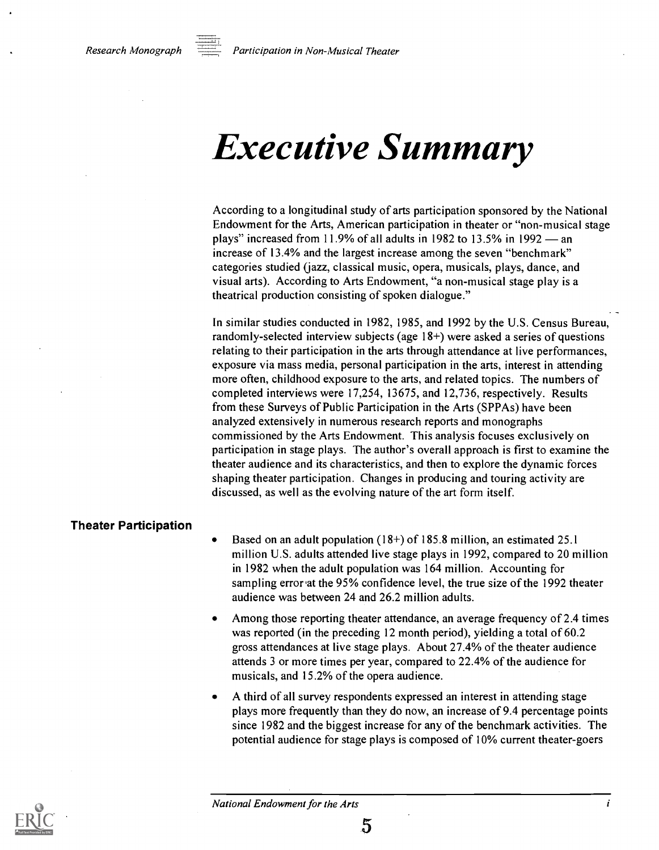## Executive Summary

According to a longitudinal study of arts participation sponsored by the National Endowment for the Arts, American participation in theater or "non-musical stage plays" increased from 11.9% of all adults in 1982 to 13.5% in 1992  $-$  an increase of 13.4% and the largest increase among the seven "benchmark" categories studied (jazz, classical music, opera, musicals, plays, dance, and visual arts). According to Arts Endowment, "a non-musical stage play is a theatrical production consisting of spoken dialogue."

In similar studies conducted in 1982, 1985, and 1992 by the U.S. Census Bureau, randomly-selected interview subjects (age 18+) were asked a series of questions relating to their participation in the arts through attendance at live performances, exposure via mass media, personal participation in the arts, interest in attending more often, childhood exposure to the arts, and related topics. The numbers of completed interviews were 17,254, 13675, and 12,736, respectively. Results from these Surveys of Public Participation in the Arts (SPPAs) have been analyzed extensively in numerous research reports and monographs commissioned by the Arts Endowment. This analysis focuses exclusively on participation in stage plays. The author's overall approach is first to examine the theater audience and its characteristics, and then to explore the dynamic forces shaping theater participation. Changes in producing and touring activity are discussed, as well as the evolving nature of the art form itself.

#### Theater Participation

- Based on an adult population (18+) of 185.8 million, an estimated 25.1 million U.S. adults attended live stage plays in 1992, compared to 20 million in 1982 when the adult population was 164 million. Accounting for sampling error at the 95% confidence level, the true size of the 1992 theater audience was between 24 and 26.2 million adults.
- Among those reporting theater attendance, an average frequency of 2.4 times was reported (in the preceding 12 month period), yielding a total of 60.2 gross attendances at live stage plays. About 27.4% of the theater audience attends 3 or more times per year, compared to 22.4% of the audience for musicals, and 15.2% of the opera audience.
- A third of all survey respondents expressed an interest in attending stage plays more frequently than they do now, an increase of 9.4 percentage points since 1982 and the biggest increase for any of the benchmark activities. The potential audience for stage plays is composed of 10% current theater-goers



5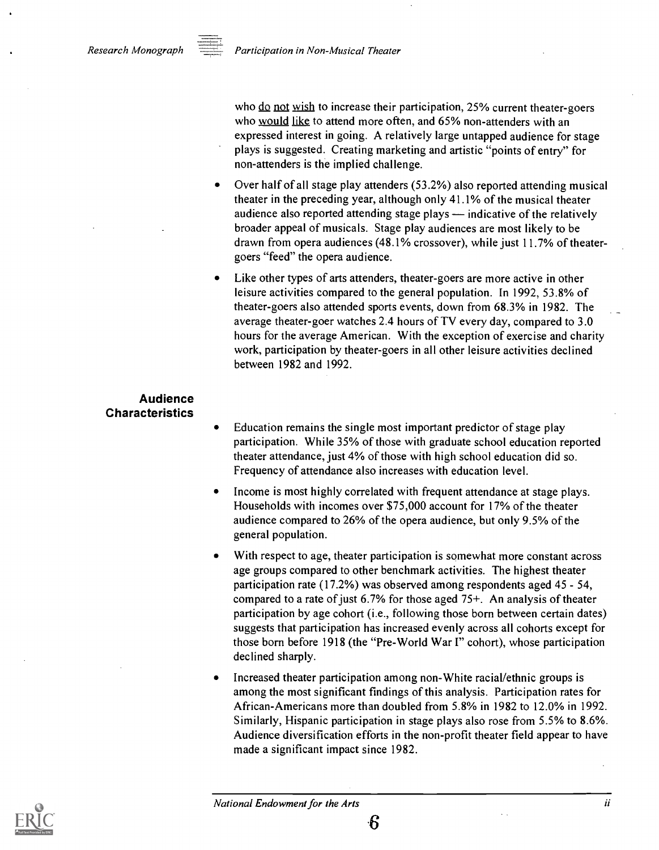

who  $\underline{do}$  not wish to increase their participation, 25% current theater-goers who would like to attend more often, and 65% non-attenders with an expressed interest in going. A relatively large untapped audience for stage plays is suggested. Creating marketing and artistic "points of entry" for non-attenders is the implied challenge.

- Over half of all stage play attenders (53.2%) also reported attending musical theater in the preceding year, although only 41.1% of the musical theater audience also reported attending stage plays  $-$  indicative of the relatively broader appeal of musicals. Stage play audiences are most likely to be drawn from opera audiences (48.1% crossover), while just 11.7% of theatergoers "feed" the opera audience.
- Like other types of arts attenders, theater-goers are more active in other leisure activities compared to the general population. In 1992, 53.8% of theater-goers also attended sports events, down from 68.3% in 1982. The average theater-goer watches 2.4 hours of TV every day, compared to 3.0 hours for the average American. With the exception of exercise and charity work, participation by theater-goers in all other leisure activities declined between 1982 and 1992.

#### Audience Characteristics

- Education remains the single most important predictor of stage play participation. While 35% of those with graduate school education reported theater attendance, just 4% of those with high school education did so. Frequency of attendance also increases with education level.
- Income is most highly correlated with frequent attendance at stage plays. Households with incomes over \$75,000 account for 17% of the theater audience compared to 26% of the opera audience, but only 9.5% of the general population.
- With respect to age, theater participation is somewhat more constant across age groups compared to other benchmark activities. The highest theater participation rate (17.2%) was observed among respondents aged 45 - 54, compared to a rate of just 6.7% for those aged 75+. An analysis of theater participation by age cohort (i.e., following those born between certain dates) suggests that participation has increased evenly across all cohorts except for those born before 1918 (the "Pre-World War I" cohort), whose participation declined sharply.
- Increased theater participation among non-White racial/ethnic groups is among the most significant findings of this analysis. Participation rates for African-Americans more than doubled from 5.8% in 1982 to 12.0% in 1992. Similarly, Hispanic participation in stage plays also rose from 5.5% to 8.6%. Audience diversification efforts in the non-profit theater field appear to have made a significant impact since 1982.



6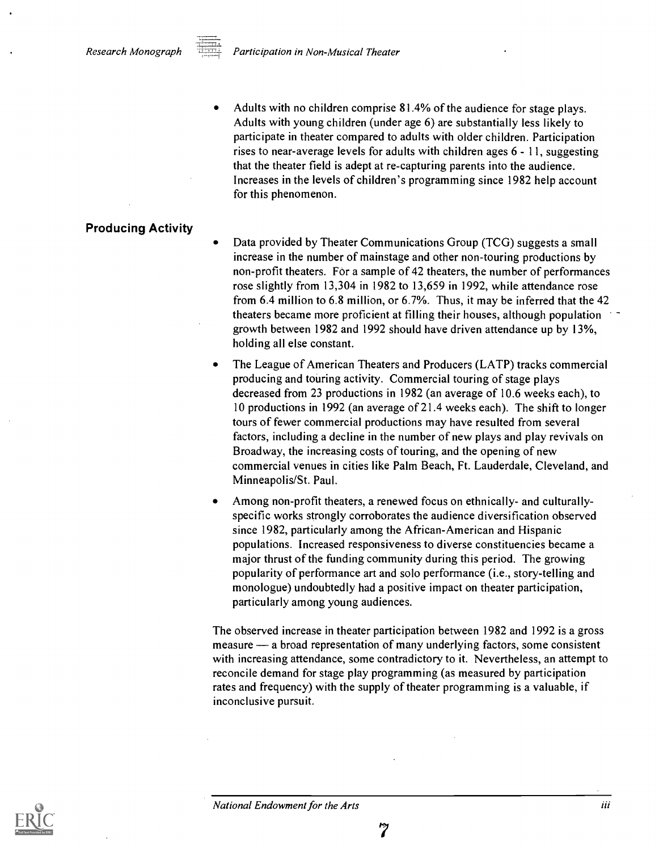Adults with no children comprise 81.4% of the audience for stage plays. Adults with young children (under age 6) are substantially less likely to participate in theater compared to adults with older children. Participation rises to near-average levels for adults with children ages 6 - 11, suggesting that the theater field is adept at re-capturing parents into the audience. Increases in the levels of children's programming since 1982 help account for this phenomenon.

#### Producing Activity

Data provided by Theater Communications Group (TCG) suggests a small increase in the number of mainstage and other non-touring productions by non-profit theaters. For a sample of 42 theaters, the number of performances rose slightly from 13,304 in 1982 to 13,659 in 1992, while attendance rose from 6.4 million to 6.8 million, or 6.7%. Thus, it may be inferred that the 42 theaters became more proficient at filling their houses, although population growth between 1982 and 1992 should have driven attendance up by 13%, holding all else constant.

- The League of American Theaters and Producers (LATP) tracks commercial producing and touring activity. Commercial touring of stage plays decreased from 23 productions in 1982 (an average of 10.6 weeks each), to 10 productions in 1992 (an average of 21.4 weeks each). The shift to longer tours of fewer commercial productions may have resulted from several factors, including a decline in the number of new plays and play revivals on Broadway, the increasing costs of touring, and the opening of new commercial venues in cities like Palm Beach, Ft. Lauderdale, Cleveland, and Minneapolis/St. Paul.
- Among non-profit theaters, a renewed focus on ethnically- and culturallyspecific works strongly corroborates the audience diversification observed since 1982, particularly among the African-American and Hispanic populations. Increased responsiveness to diverse constituencies became a major thrust of the funding community during this period. The growing popularity of performance art and solo performance (i.e., story-telling and monologue) undoubtedly had a positive impact on theater participation, particularly among young audiences.

The observed increase in theater participation between 1982 and 1992 is a gross measure — a broad representation of many underlying factors, some consistent with increasing attendance, some contradictory to it. Nevertheless, an attempt to reconcile demand for stage play programming (as measured by participation rates and frequency) with the supply of theater programming is a valuable, if inconclusive pursuit.

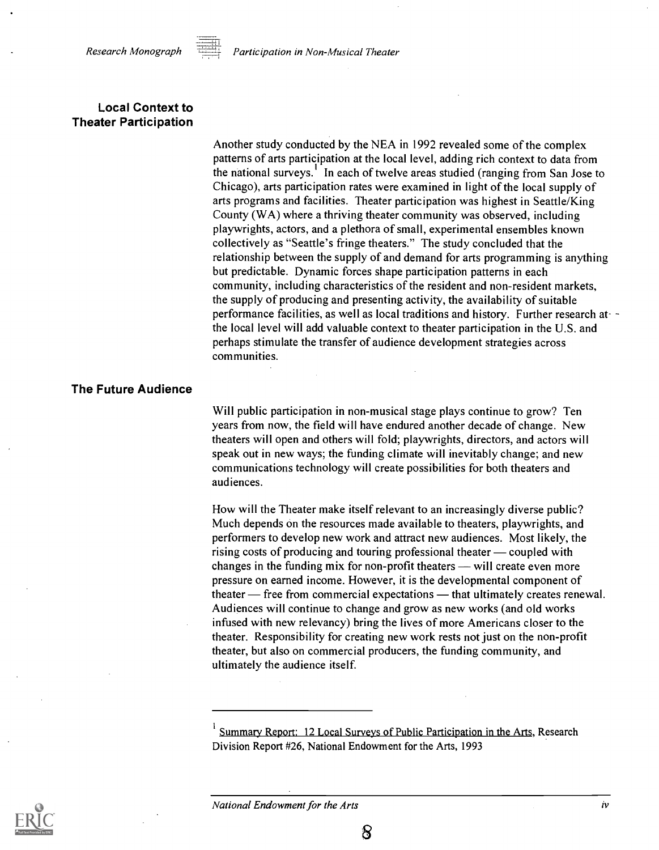

#### Local Context to Theater Participation

Another study conducted by the NEA in 1992 revealed some of the complex patterns of arts participation at the local level, adding rich context to data from the national surveys.<sup>1</sup> In each of twelve areas studied (ranging from San Jose to Chicago), arts participation rates were examined in light of the local supply of arts programs and facilities. Theater participation was highest in Seattle/King County (WA) where a thriving theater community was observed, including playwrights, actors, and a plethora of small, experimental ensembles known collectively as "Seattle's fringe theaters." The study concluded that the relationship between the supply of and demand for arts programming is anything but predictable. Dynamic forces shape participation patterns in each community, including characteristics of the resident and non-resident markets, the supply of producing and presenting activity, the availability of suitable performance facilities, as well as local traditions and history. Further research atthe local level will add valuable context to theater participation in the U.S. and perhaps stimulate the transfer of audience development strategies across communities.

#### The Future Audience

Will public participation in non-musical stage plays continue to grow? Ten years from now, the field will have endured another decade of change. New theaters will open and others will fold; playwrights, directors, and actors will speak out in new ways; the funding climate will inevitably change; and new communications technology will create possibilities for both theaters and audiences.

How will the Theater make itself relevant to an increasingly diverse public? Much depends on the resources made available to theaters, playwrights, and performers to develop new work and attract new audiences. Most likely, the rising costs of producing and touring professional theater  $\sim$  coupled with changes in the funding mix for non-profit theaters  $-\text{will create even more}$ pressure on earned income. However, it is the developmental component of theater – free from commercial expectations – that ultimately creates renewal. Audiences will continue to change and grow as new works (and old works infused with new relevancy) bring the lives of more Americans closer to the theater. Responsibility for creating new work rests not just on the non-profit theater, but also on commercial producers, the funding community, and ultimately the audience itself.



National Endowment for the Arts iversity is a state of the Arts in the state of the Arts in the state of the Arts in the state of the Arts in the State of the Arts in the State of the Arts in the Arts in the Arts in the Ar

Summary Report: 12 Local Surveys of Public Participation in the Arts, Research Division Report #26, National Endowment for the Arts, 1993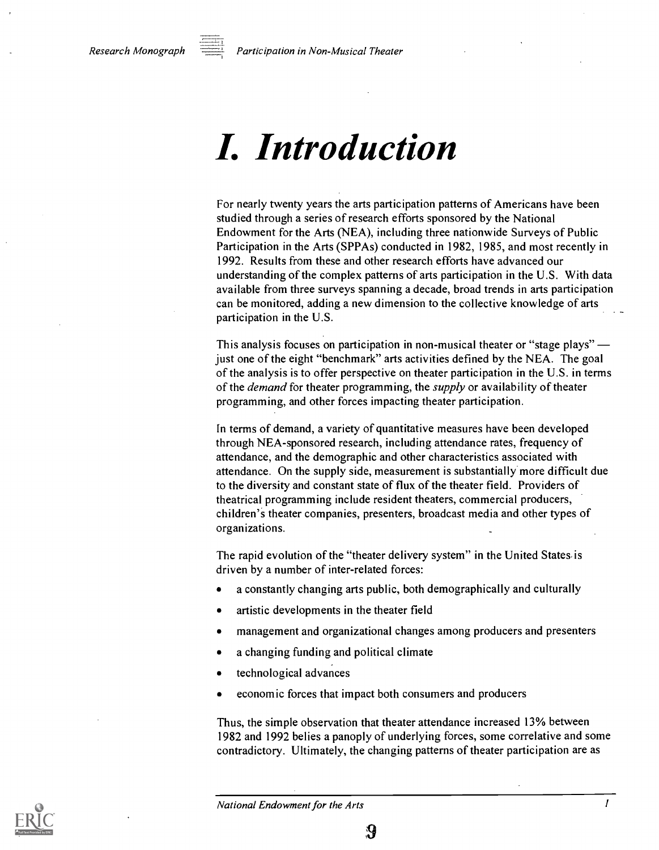Research Monograph  $\frac{\overline{a}}{\overline{b}}$  Participation in Non-Musical Theater

### I. Introduction

For nearly twenty years the arts participation patterns of Americans have been studied through a series of research efforts sponsored by the National Endowment for the Arts (NEA), including three nationwide Surveys of Public Participation in the Arts (SPPAs) conducted in 1982, 1985, and most recently in 1992. Results from these and other research efforts have advanced our understanding of the complex patterns of arts participation in the U.S. With data available from three surveys spanning a decade, broad trends in arts participation can be monitored, adding a new dimension to the collective knowledge of arts participation in the U.S.

This analysis focuses on participation in non-musical theater or "stage plays" just one of the eight "benchmark" arts activities defined by the NEA. The goal of the analysis is to offer perspective on theater participation in the U.S. in terms of the *demand* for theater programming, the *supply* or availability of theater programming, and other forces impacting theater participation.

In terms of demand, a variety of quantitative measures have been developed through NEA-sponsored research, including attendance rates, frequency of attendance, and the demographic and other characteristics associated with attendance. On the supply side, measurement is substantially more difficult due to the diversity and constant state of flux of the theater field. Providers of theatrical programming include resident theaters, commercial producers, children's theater companies, presenters, broadcast media and other types of organizations.

The rapid evolution of the "theater delivery system" in the United States is driven by a number of inter-related forces:

- a constantly changing arts public, both demographically and culturally
- artistic developments in the theater field
- management and organizational changes among producers and presenters
- a changing funding and political climate
- technological advances
- economic forces that impact both consumers and producers

Thus, the simple observation that theater attendance increased 13% between 1982 and 1992 belies a panoply of underlying forces, some correlative and some contradictory. Ultimately, the changing patterns of theater participation are as

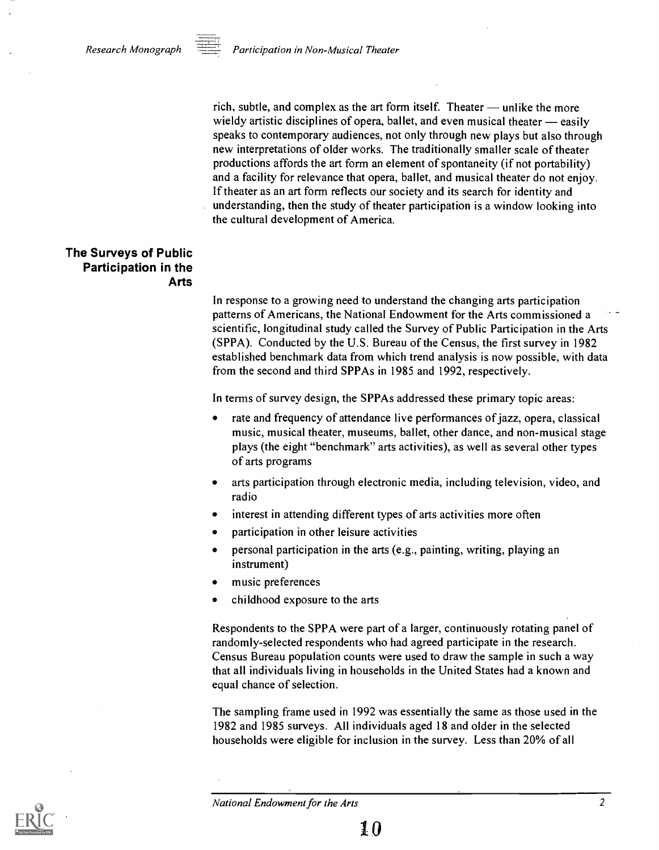rich, subtle, and complex as the art form itself. Theater  $-$  unlike the more wieldy artistic disciplines of opera, ballet, and even musical theater  $-$  easily speaks to contemporary audiences, not only through new plays but also through new interpretations of older works. The traditionally smaller scale of theater productions affords the art form an element of spontaneity (if not portability) and a facility for relevance that opera, ballet, and musical theater do not enjoy. If theater as an art form reflects our society and its search for identity and understanding, then the study of theater participation is a window looking into the cultural development of America.

#### The Surveys of Public Participation in the Arts

In response to a growing need to understand the changing arts participation patterns of Americans, the National Endowment for the Arts commissioned a scientific, longitudinal study called the Survey of Public Participation in the Arts (SPPA). Conducted by the U.S. Bureau of the Census, the first survey in 1982 established benchmark data from which trend analysis is now possible, with data from the second and third SPPAs in 1985 and 1992, respectively.

In terms of survey design, the SPPAs addressed these primary topic areas:

- rate and frequency of attendance live performances of jazz, opera, classical music, musical theater, museums, ballet, other dance, and non-musical stage plays (the eight "benchmark" arts activities), as well as several other types of arts programs
- arts participation through electronic media, including television, video, and radio
- interest in attending different types of arts activities more often
- participation in other leisure activities
- personal participation in the arts (e.g., painting, writing, playing an instrument)
- music preferences
- childhood exposure to the arts

Respondents to the SPPA were part of a larger, continuously rotating panel of randomly-selected respondents who had agreed participate in the research. Census Bureau population counts were used to draw the sample in such a way that all individuals living in households in the United States had a known and equal chance of selection.

The sampling frame used in 1992 was essentially the same as those used in the 1982 and 1985 surveys. All individuals aged 18 and older in the selected households were eligible for inclusion in the survey. Less than 20% of all

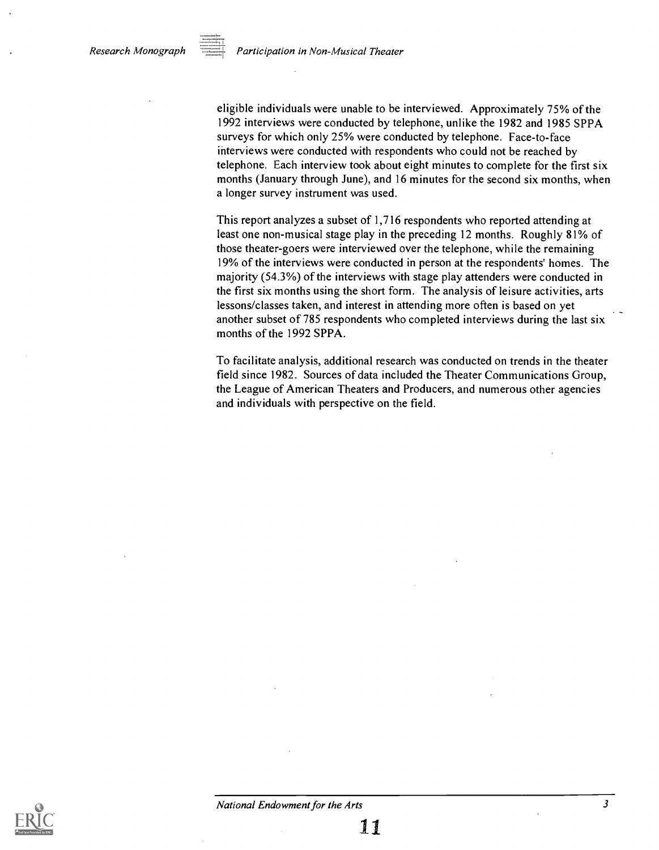eligible individuals were unable to be interviewed. Approximately 75% of the 1992 interviews were conducted by telephone, unlike the 1982 and 1985 SPPA surveys for which only 25% were conducted by telephone. Face-to-face interviews were conducted with respondents who could not be reached by telephone. Each interview took about eight minutes to complete for the first six months (January through June), and 16 minutes for the second six months, when a longer survey instrument was used.

This report analyzes a subset of 1,716 respondents who reported attending at least one non-musical stage play in the preceding 12 months. Roughly 81% of those theater-goers were interviewed over the telephone, while the remaining 19% of the interviews were conducted in person at the respondents' homes. The majority (54.3%) of the interviews with stage play attenders were conducted in the first six months using the short form. The analysis of leisure activities, arts lessons/classes taken, and interest in attending more often is based on yet another subset of 785 respondents who completed interviews during the last six months of the 1992 SPPA.

To facilitate analysis, additional research was conducted on trends in the theater field since 1982. Sources of data included the Theater Communications Group, the League of American Theaters and Producers, and numerous other agencies and individuals with perspective on the field.

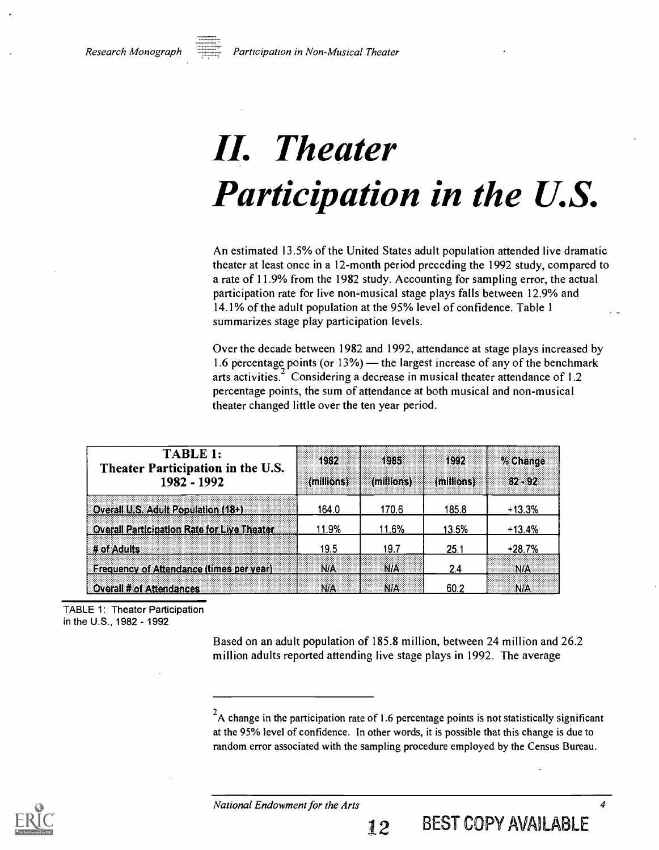

# II. Theater Participation in the U.S.

An estimated 13.5% of the United States adult population attended live dramatic theater at least once in a 12-month period preceding the 1992 study, compared to a rate of 11.9% from the 1982 study. Accounting for sampling error, the actual participation rate for live non-musical stage plays falls between 12.9% and 14.1% of the adult population at the 95% level of confidence. Table 1 summarizes stage play participation levels.

Over the decade between 1982 and 1992, attendance at stage plays increased by 1.6 percentage points (or  $13\%$ ) — the largest increase of any of the benchmark arts activities.<sup>2</sup> Considering a decrease in musical theater attendance of 1.2 percentage points, the sum of attendance at both musical and non-musical theater changed little over the ten year period.

| <b>TABLE 1:</b><br>Theater Participation in the U.S.<br>1982 - 1992 | 1932<br>(millions) | 1985<br>(millions) | 1992<br>(millions) | % Change<br>82.892 |
|---------------------------------------------------------------------|--------------------|--------------------|--------------------|--------------------|
| Overall U.S. Adult Population (18+)                                 | 164.0              | 170.6              | 185.8              | $+13.3%$           |
| Overall Participation Rate for Live Theater                         | 11.9%              | 11.6%              | 13.5%              | $+13.4%$           |
| # of Adults                                                         | 19.5               | 19.7               | 25.1               | $+28.7%$           |
| <b>Frequency of Attendance (times per year)</b>                     | N/A                | N/A                | 2.4                | <b>N/A</b>         |
| <b>Cverall # of Attendances</b>                                     | N/A                | NA                 | 60.2               | <b>NIA</b>         |

TABLE 1: Theater Participation in the U.S., 1982 - 1992

> Based on an adult population of 185.8 million, between 24 million and 26.2 million adults reported attending live stage plays in 1992. The average



 $2A$  change in the participation rate of 1.6 percentage points is not statistically significant at the 95% level of confidence. In other words, it is possible that this change is due to random error associated with the sampling procedure employed by the Census Bureau.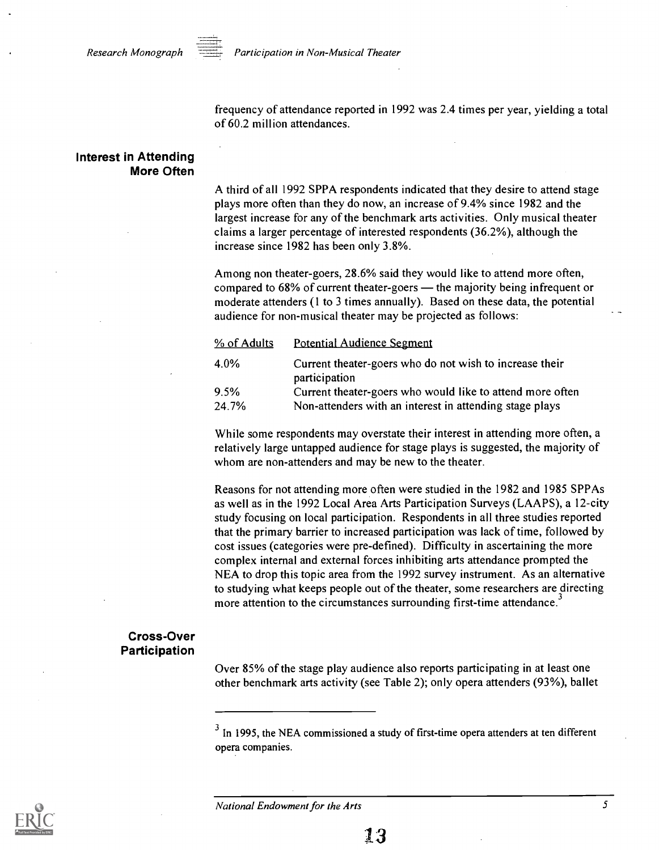

 $Research Monograph$   $\overrightarrow{p}$  Participation in Non-Musical Theater

frequency of attendance reported in 1992 was 2.4 times per year, yielding a total of 60.2 million attendances.

#### Interest in Attending More Often

A third of all 1992 SPPA respondents indicated that they desire to attend stage plays more often than they do now, an increase of 9.4% since 1982 and the largest increase for any of the benchmark arts activities. Only musical theater claims a larger percentage of interested respondents (36.2%), although the increase since 1982 has been only 3.8%.

Among non theater-goers, 28.6% said they would like to attend more often, compared to  $68\%$  of current theater-goers  $-$  the majority being infrequent or moderate attenders (1 to 3 times annually). Based on these data, the potential audience for non-musical theater may be projected as follows:

| % of Adults | <b>Potential Audience Segment</b>                                        |
|-------------|--------------------------------------------------------------------------|
| 4.0%        | Current theater-goers who do not wish to increase their<br>participation |
| 9.5%        | Current theater-goers who would like to attend more often                |
| 24.7%       | Non-attenders with an interest in attending stage plays                  |

While some respondents may overstate their interest in attending more often, a relatively large untapped audience for stage plays is suggested, the majority of whom are non-attenders and may be new to the theater.

Reasons for not attending more often were studied in the 1982 and 1985 SPPAs as well as in the 1992 Local Area Arts Participation Surveys (LAAPS), a 12-city study focusing on local participation. Respondents in all three studies reported that the primary barrier to increased participation was lack of time, followed by cost issues (categories were pre-defined). Difficulty in ascertaining the more complex internal and external forces inhibiting arts attendance prompted the NEA to drop this topic area from the 1992 survey instrument. As an alternative to studying what keeps people out of the theater, some researchers are directing more attention to the circumstances surrounding first-time attendance.

#### Cross-Over Participation

Over 85% of the stage play audience also reports participating in at least one other benchmark arts activity (see Table 2); only opera attenders (93%), ballet



 $3$  In 1995, the NEA commissioned a study of first-time opera attenders at ten different opera companies.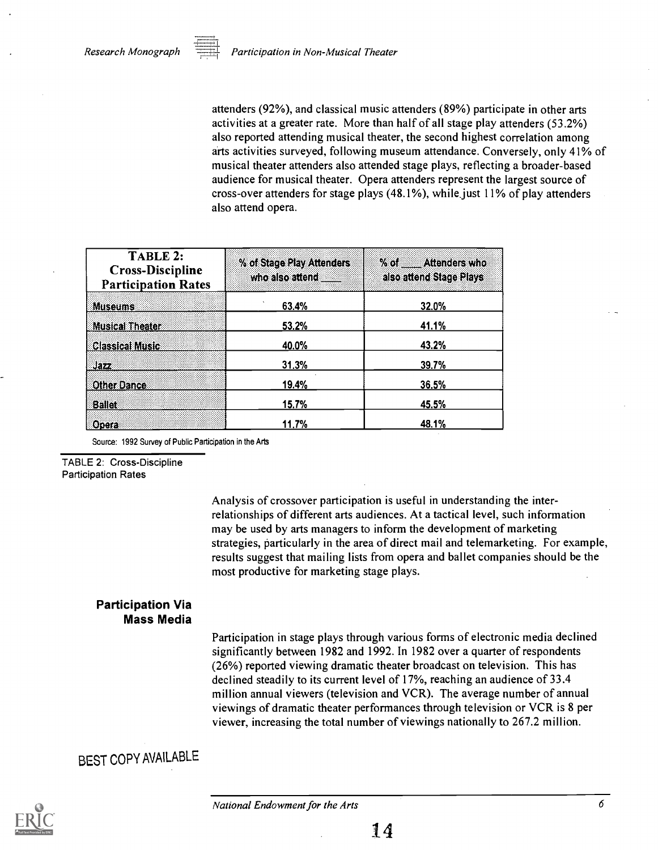attenders (92%), and classical music attenders (89%) participate in other arts activities at a greater rate. More than half of all stage play attenders (53.2%) also reported attending musical theater, the second highest correlation among arts activities surveyed, following museum attendance. Conversely, only 41% of musical theater attenders also attended stage plays, reflecting a broader-based audience for musical theater. Opera attenders represent the largest source of cross-over attenders for stage plays (48.1%), while.just 11% of play attenders also attend opera.

| TABLE 2:<br><b>Cross-Discipline</b><br><b>Participation Rates</b> | % of Stage Play Attenders<br>who also attend | % of Attenders who<br>also attend Stage Plays |
|-------------------------------------------------------------------|----------------------------------------------|-----------------------------------------------|
| <b>Museums</b>                                                    | 63.4%                                        | 32.0%                                         |
| <b>Musical Theater</b>                                            | 53.2%                                        | 41.1%                                         |
| <b>Classical Music</b>                                            | 40.0%                                        | 43.2%                                         |
| Jazz                                                              | 31.3%                                        | 39.7%                                         |
| <b>Other Dance</b>                                                | 19.4%                                        | 36.5%                                         |
| <b>Ballet</b>                                                     | 15.7%                                        | 45.5%                                         |
| Opera                                                             | 11.7%                                        | 48.1%                                         |

Source: 1992 Survey of Public Participation in the Arts

TABLE 2: Cross-Discipline Participation Rates

> Analysis of crossover participation is useful in understanding the interrelationships of different arts audiences. At a tactical level, such information may be used by arts managers to inform the development of marketing strategies, particularly in the area of direct mail and telemarketing. For example, results suggest that mailing lists from opera and ballet companies should be the most productive for marketing stage plays.

#### Participation Via Mass Media

Participation in stage plays through various forms of electronic media declined significantly between 1982 and 1992. In 1982 over a quarter of respondents (26%) reported viewing dramatic theater broadcast on television. This has declined steadily to its current level of 17%, reaching an audience of 33.4 million annual viewers (television and VCR). The average number of annual viewings of dramatic theater performances through television or VCR is 8 per viewer, increasing the total number of viewings nationally to 267.2 million.

### BEST COPY AVAILABLE

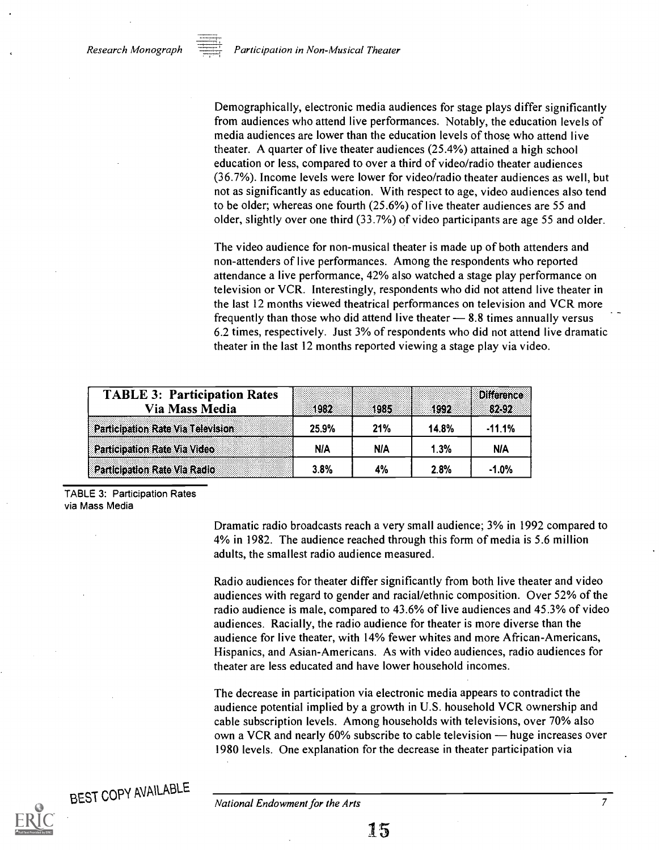Demographically, electronic media audiences for stage plays differ significantly from audiences who attend live performances. Notably, the education levels of media audiences are lower than the education levels of those who attend live theater. A quarter of live theater audiences (25.4%) attained a high school education or less, compared to over a third of video/radio theater audiences (36.7%). Income levels were lower for video/radio theater audiences as well, but not as significantly as education. With respect to age, video audiences also tend to be older; whereas one fourth (25.6%) of live theater audiences are 55 and older, slightly over one third (33.7%) of video participants are age 55 and older.

The video audience for non-musical theater is made up of both attenders and non-attenders of live performances. Among the respondents who reported attendance a live performance, 42% also watched a stage play performance on television or VCR. Interestingly, respondents who did not attend live theater in the last 12 months viewed theatrical performances on television and VCR more frequently than those who did attend live theater  $-8.8$  times annually versus 6.2 times, respectively. Just 3% of respondents who did not attend live dramatic theater in the last 12 months reported viewing a stage play via video.

| <b>TABLE 3: Participation Rates</b> |       |      |       | <b>Difference</b> |
|-------------------------------------|-------|------|-------|-------------------|
| Via Mass Media                      | 1982  | 1985 | 3992  | 82392             |
| Participation Rate Via Television   | 25.9% | 21%  | 14.8% | $-11.1%$          |
| <b>Participation Rate Via Video</b> | NIA   | NIA  | 1.3%  | NIA               |
| Participation Rate Via Radio        | 3.8%  | 4%   | 2.8%  | $-1.0%$           |

TABLE 3: Participation Rates via Mass Media

> Dramatic radio broadcasts reach a very small audience; 3% in 1992 compared to 4% in 1982. The audience reached through this form of media is 5.6 million adults, the smallest radio audience measured.

> Radio audiences for theater differ significantly from both live theater and video audiences with regard to gender and racial/ethnic composition. Over 52% of the radio audience is male, compared to 43.6% of live audiences and 45.3% of video audiences. Racially, the radio audience for theater is more diverse than the audience for live theater, with 14% fewer whites and more African-Americans, Hispanics, and Asian-Americans. As with video audiences, radio audiences for theater are less educated and have lower household incomes.

> The decrease in participation via electronic media appears to contradict the audience potential implied by a growth in U.S. household VCR ownership and cable subscription levels. Among households with televisions, over 70% also own a VCR and nearly 60% subscribe to cable television — huge increases over 1980 levels. One explanation for the decrease in theater participation via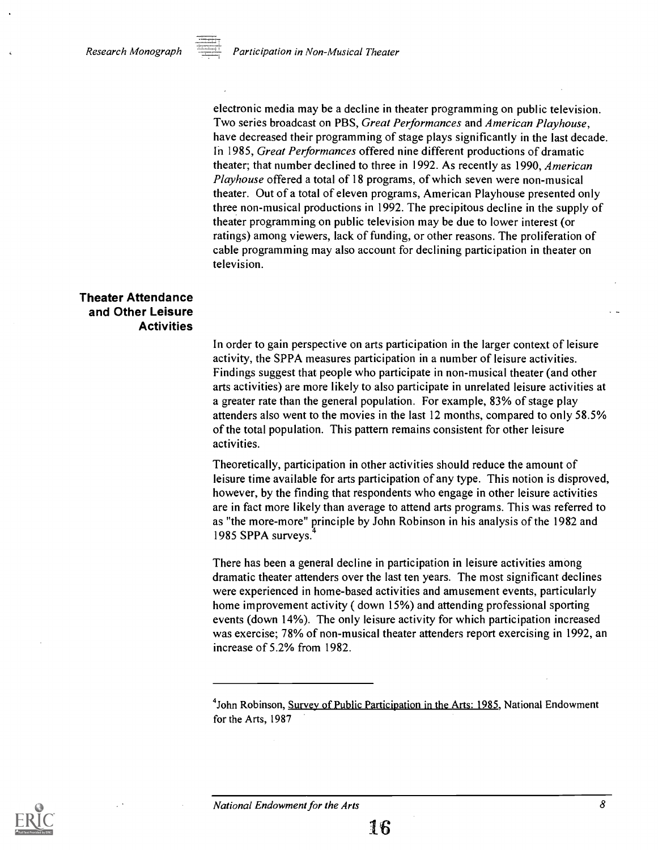

electronic media may be a decline in theater programming on public television. Two series broadcast on PBS, Great Performances and American Playhouse, have decreased their programming of stage plays significantly in the last decade. In 1985, Great Performances offered nine different productions of dramatic theater; that number declined to three in 1992. As recently as 1990, American Playhouse offered a total of 18 programs, of which seven were non-musical theater. Out of a total of eleven programs, American Playhouse presented only three non-musical productions in 1992. The precipitous decline in the supply of theater programming on public television may be due to lower interest (or ratings) among viewers, lack of funding, or other reasons. The proliferation of cable programming may also account for declining participation in theater on television.

#### Theater Attendance and Other Leisure Activities

In order to gain perspective on arts participation in the larger context of leisure activity, the SPPA measures participation in a number of leisure activities. Findings suggest that people who participate in non-musical theater (and other arts activities) are more likely to also participate in unrelated leisure activities at a greater rate than the general population. For example, 83% of stage play attenders also went to the movies in the last 12 months, compared to only 58.5% of the total population. This pattern remains consistent for other leisure activities.

Theoretically, participation in other activities should reduce the amount of leisure time available for arts participation of any type. This notion is disproved, however, by the finding that respondents who engage in other leisure activities are in fact more likely than average to attend arts programs. This was referred to as "the more-more" principle by John Robinson in his analysis of the 1982 and 1985 SPPA surveys.

There has been a general decline in participation in leisure activities among dramatic theater attenders over the last ten years. The most significant declines were experienced in home-based activities and amusement events, particularly home improvement activity ( down 15%) and attending professional sporting events (down 14%). The only leisure activity for which participation increased was exercise; 78% of non-musical theater attenders report exercising in 1992, an increase of 5.2% from 1982.



<sup>&</sup>lt;sup>4</sup>John Robinson, Survey of Public Participation in the Arts: 1985, National Endowment for the Arts, 1987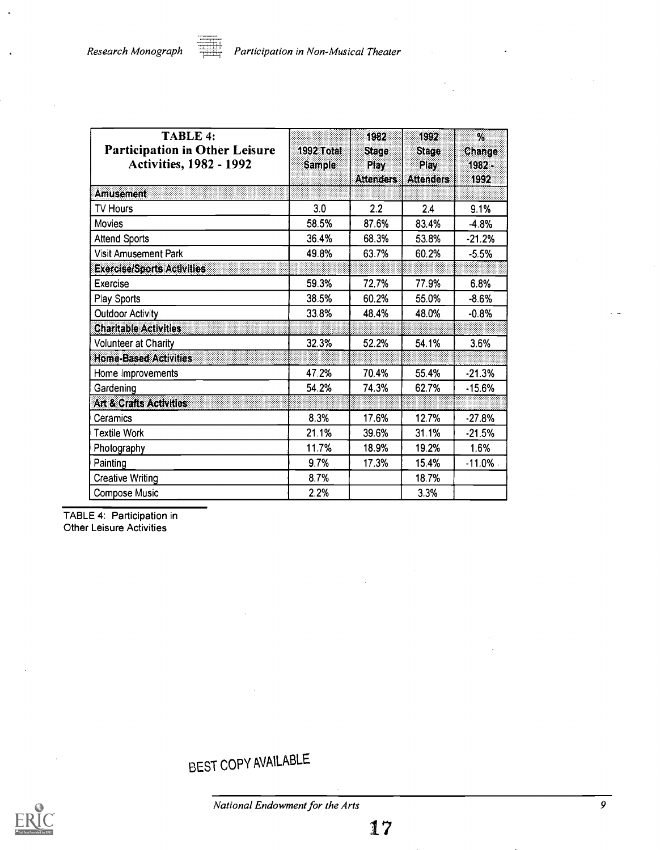l.

| <b>TABLE 4:</b><br><b>Participation in Other Leisure</b><br><b>Activities, 1982 - 1992</b> | 1992 Total<br><b>Sample</b> | 1982<br>Stage<br>Play | 1992<br><b>Slage</b><br>Play | $\%$<br>Change<br>$1982 -$ |
|--------------------------------------------------------------------------------------------|-----------------------------|-----------------------|------------------------------|----------------------------|
|                                                                                            |                             | <b>Attenders</b>      | <b>Attenders</b>             | 1992.                      |
| <b>Amusement</b>                                                                           |                             |                       |                              |                            |
| TV Hours                                                                                   | 3.0                         | 2.2                   | 2.4                          | 9.1%                       |
| Movies                                                                                     | 58.5%                       | 87.6%                 | 83.4%                        | $-4.8%$                    |
| <b>Attend Sports</b>                                                                       | 36.4%                       | 68.3%                 | 53.8%                        | $-21.2%$                   |
| Visit Amusement Park                                                                       | 49.8%                       | 63.7%                 | 60.2%                        | $-5.5%$                    |
| <b>Exercise/Sports Activities</b>                                                          |                             |                       |                              |                            |
| Exercise                                                                                   | 59.3%                       | 72.7%                 | 77.9%                        | 6.8%                       |
| Play Sports                                                                                | 38.5%                       | 60.2%                 | 55.0%                        | $-8.6%$                    |
| <b>Outdoor Activity</b>                                                                    | 33.8%                       | 48.4%                 | 48.0%                        | $-0.8%$                    |
| <b>Charitable Activities</b>                                                               |                             |                       |                              |                            |
| <b>Volunteer at Charity</b>                                                                | 32.3%                       | 52.2%                 | 54.1%                        | 3.6%                       |
| <b>Home-Based Activities</b>                                                               |                             |                       |                              |                            |
| Home Improvements                                                                          | 47.2%                       | 70.4%                 | 55.4%                        | $-21.3%$                   |
| Gardening                                                                                  | 54.2%                       | 74.3%                 | 62.7%                        | $-15.6%$                   |
| Art & Crafts Activities                                                                    |                             |                       |                              |                            |
| Ceramics                                                                                   | 8.3%                        | 17.6%                 | 12.7%                        | $-27.8%$                   |
| <b>Textile Work</b>                                                                        | 21.1%                       | 39.6%                 | 31.1%                        | $-21.5%$                   |
| Photography                                                                                | 11.7%                       | 18.9%                 | 19.2%                        | 1.6%                       |
| Painting                                                                                   | 9.7%                        | 17.3%                 | 15.4%                        | $-11.0\%$ .                |
| <b>Creative Writing</b>                                                                    | 8.7%                        |                       | 18.7%                        |                            |
| <b>Compose Music</b>                                                                       | 2.2%                        |                       | 3.3%                         |                            |

TABLE 4: Participation in Other Leisure Activities

### BEST COPY AVAILABLE

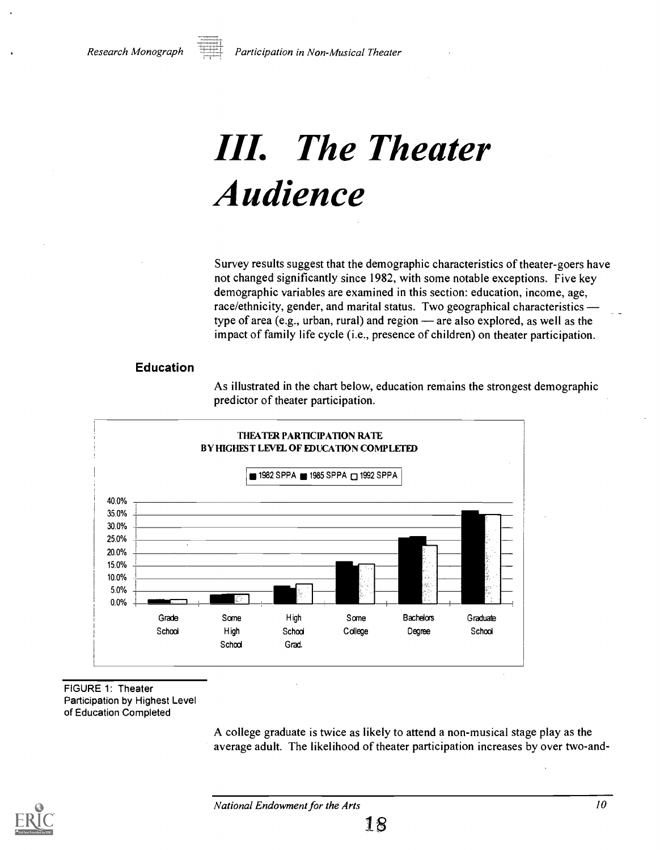

Participation in Non-Musical Theater

# III. The Theater Audience

Survey results suggest that the demographic characteristics of theater-goers have not changed significantly since 1982, with some notable exceptions. Five key demographic variables are examined in this section: education, income, age, race/ethnicity, gender, and marital status. Two geographical characteristics type of area (e.g., urban, rural) and region  $-$  are also explored, as well as the impact of family life cycle (i.e., presence of children) on theater participation.

#### Education

As illustrated in the chart below, education remains the strongest demographic predictor of theater participation.



#### FIGURE 1: Theater Participation by Highest Level of Education Completed

A college graduate is twice as likely to attend a non-musical stage play as the average adult. The likelihood of theater participation increases by over two-and-

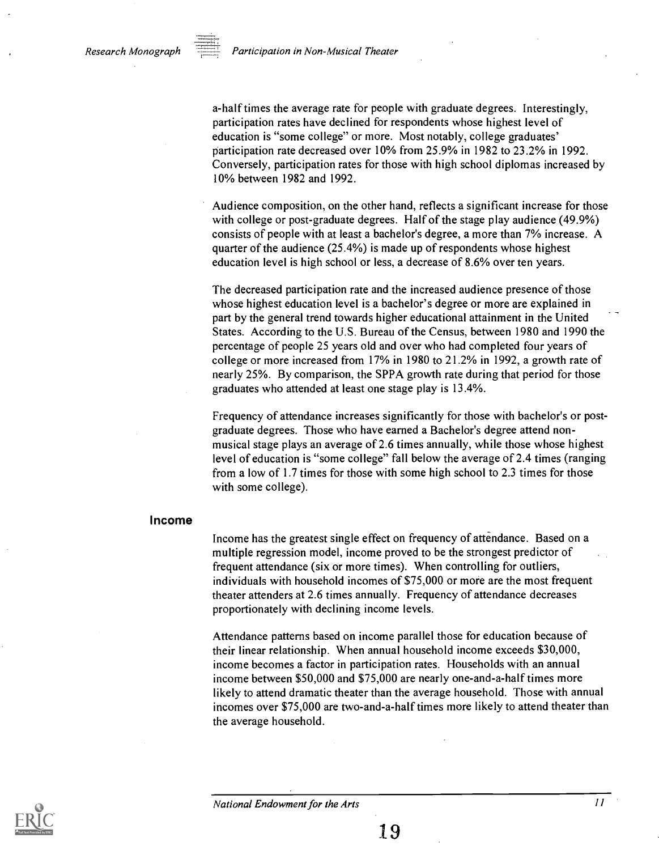Research Monograph  $\Box$  Participation in Non-Musical Theater

a-half times the average rate for people with graduate degrees. Interestingly, participation rates have declined for respondents whose highest level of education is "some college" or more. Most notably, college graduates' participation rate decreased over 10% from 25.9% in 1982 to 23.2% in 1992. Conversely, participation rates for those with high school diplomas increased by 10% between 1982 and 1992.

Audience composition, on the other hand, reflects a significant increase for those with college or post-graduate degrees. Half of the stage play audience (49.9%) consists of people with at least a bachelor's degree, a more than 7% increase. A quarter of the audience (25.4%) is made up of respondents whose highest education level is high school or less, a decrease of 8.6% over ten years.

The decreased participation rate and the increased audience presence of those whose highest education level is a bachelor's degree or more are explained in part by the general trend towards higher educational attainment in the United States. According to the U.S. Bureau of the Census, between 1980 and 1990 the percentage of people 25 years old and over who had completed four years of college or more increased from 17% in 1980 to 21.2% in 1992, a growth rate of nearly 25%. By comparison, the SPPA growth rate during that period for those graduates who attended at least one stage play is 13.4%.

Frequency of attendance increases significantly for those with bachelor's or postgraduate degrees. Those who have earned a Bachelor's degree attend nonmusical stage plays an average of 2.6 times annually, while those whose highest level of education is "some college" fall below the average of 2.4 times (ranging from a low of 1.7 times for those with some high school to 2.3 times for those with some college).

#### Income

Income has the greatest single effect on frequency of attendance. Based on a multiple regression model, income proved to be the strongest predictor of frequent attendance (six or more times). When controlling for outliers, individuals with household incomes of \$75,000 or more are the most frequent theater attenders at 2.6 times annually. Frequency of attendance decreases proportionately with declining income levels.

Attendance patterns based on income parallel those for education because of their linear relationship. When annual household income exceeds \$30,000, income becomes a factor in participation rates. Households with an annual income between \$50,000 and \$75,000 are nearly one-and-a-half times more likely to attend dramatic theater than the average household. Those with annual incomes over \$75,000 are two-and-a-half times more likely to attend theater than the average household.

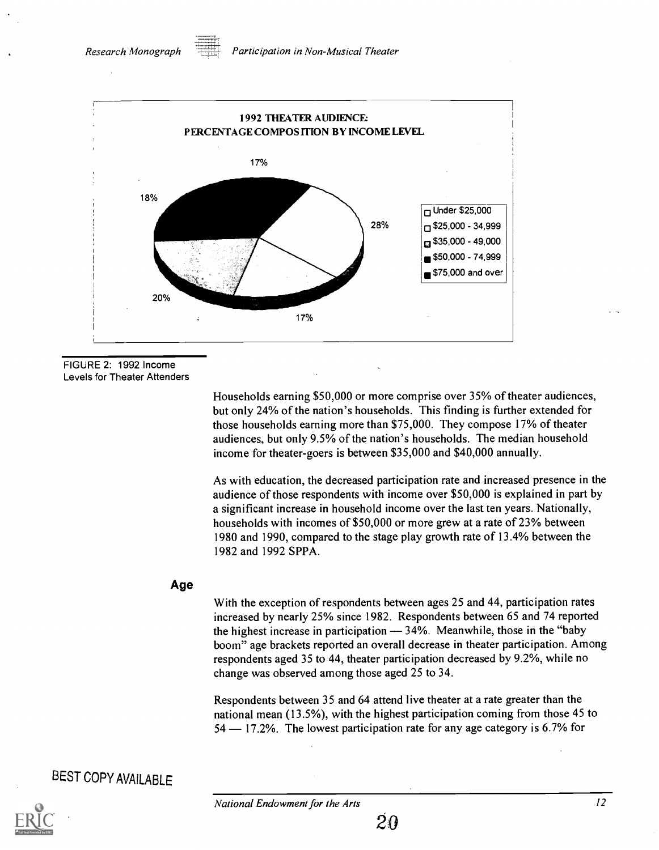

FIGURE 2: 1992 Income Levels for Theater Attenders

> Households earning \$50,000 or more comprise over 35% of theater audiences, but only 24% of the nation's households. This finding is further extended for those households earning more than \$75,000. They compose 17% of theater audiences, but only 9.5% of the nation's households. The median household income for theater-goers is between \$35,000 and \$40,000 annually.

As with education, the decreased participation rate and increased presence in the audience of those respondents with income over \$50,000 is explained in part by a significant increase in household income over the last ten years. Nationally, households with incomes of \$50,000 or more grew at a rate of 23% between 1980 and 1990, compared to the stage play growth rate of 13.4% between the 1982 and 1992 SPPA.

#### Age

With the exception of respondents between ages 25 and 44, participation rates increased by nearly 25% since 1982. Respondents between 65 and 74 reported the highest increase in participation  $-34%$ . Meanwhile, those in the "baby" boom" age brackets reported an overall decrease in theater participation. Among respondents aged 35 to 44, theater participation decreased by 9.2%, while no change was observed among those aged 25 to 34.

Respondents between 35 and 64 attend live theater at a rate greater than the national mean (13.5%), with the highest participation coming from those 45 to 54 – 17.2%. The lowest participation rate for any age category is 6.7% for

### BEST COPY AVAILABLE

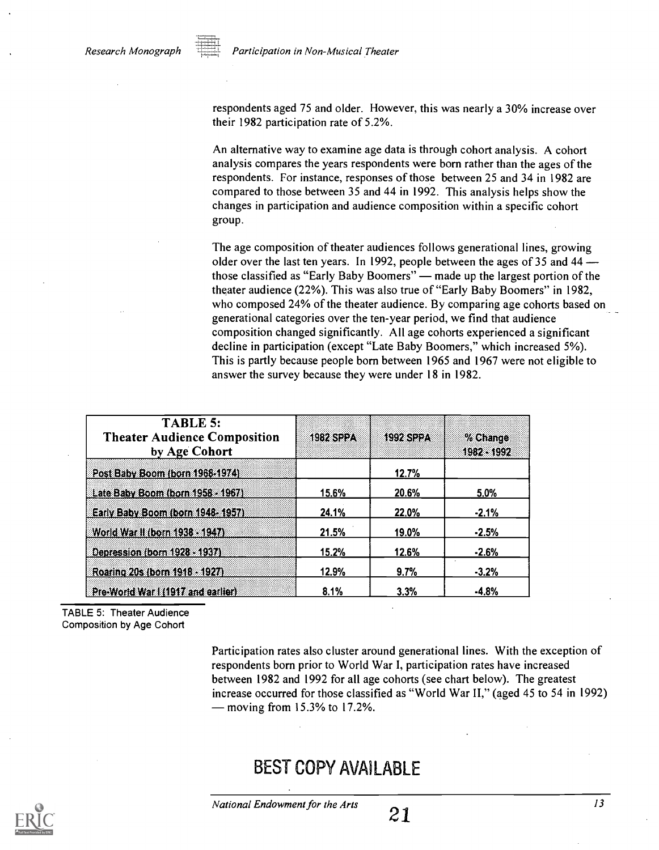respondents aged 75 and older. However, this was nearly a 30% increase over their 1982 participation rate of 5.2%.

An alternative way to examine age data is through cohort analysis. A cohort analysis compares the years respondents were born rather than the ages of the respondents. For instance, responses of those between 25 and 34 in 1982 are compared to those between 35 and 44 in 1992. This analysis helps show the changes in participation and audience composition within a specific cohort group.

The age composition of theater audiences follows generational lines, growing older over the last ten years. In 1992, people between the ages of 35 and 44 those classified as "Early Baby Boomers" — made up the largest portion of the theater audience (22%). This was also true of "Early Baby Boomers" in 1982, who composed 24% of the theater audience. By comparing age cohorts based on generational categories over the ten-year period, we find that audience composition changed significantly. All age cohorts experienced a significant decline in participation (except "Late Baby Boomers," which increased 5%). This is partly because people born between 1965 and 1967 were not eligible to answer the survey because they were under 18 in 1982.

| <b>TABLE 5:</b><br><b>Theater Audience Composition</b><br>by Age Cohort | <b>1982 SPPA</b> | <b>1992 SPPA</b> | % Change<br>1982-3992 |
|-------------------------------------------------------------------------|------------------|------------------|-----------------------|
| Post Baby Boom (born 1968-1974)                                         |                  | 12.7%            |                       |
| Late Baby Boom (born 1958 - 1967)                                       | 15.6%            | 20.6%            | 5.0%                  |
| Early Baby Boom (born 1948-1957)                                        | 24.1%            | 22.0%            | $-2.1%$               |
| World War II (born 1938 - 1947).                                        | 21.5%            | 19.0%            | $-2.5%$               |
| Depression (born 1928 - 1937)                                           | 15.2%            | 12.6%            | $-2.6%$               |
| Roaring 20s (born 1918 - 1927)                                          | 12.9%            | 9.7%             | $-3.2%$               |
| Pre-World War I (1917 and earlier)                                      | 8.1%             | 3.3%             | $-4.8%$               |

TABLE 5: Theater Audience Composition by Age Cohort

> Participation rates also cluster around generational lines. With the exception of respondents born prior to World War I, participation rates have increased between 1982 and 1992 for all age cohorts (see chart below). The greatest increase occurred for those classified as "World War II," (aged 45 to 54 in 1992)  $-$  moving from 15.3% to 17.2%.

### BEST COPY AVAILABLE

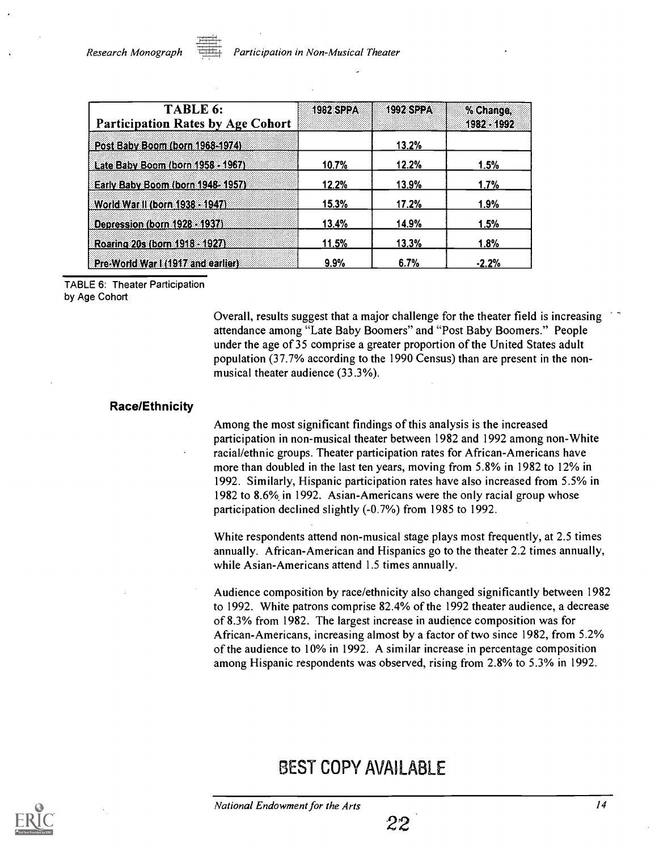| TABLE 6:<br><b>Participation Rates by Age Cohort</b> | <b>1982 SPPA</b> | <b>1992 SPPA</b> | % Change,<br>1982 - 1992 |
|------------------------------------------------------|------------------|------------------|--------------------------|
| Post Baby Boom (born 1968-1974).                     |                  | 13.2%            |                          |
| Late Baby Boom (born 1958 - 1967)                    | 10.7%            | 12.2%            | 1.5%                     |
| Early Baby Boom (born 1948-1957)                     | 12.2%            | 13.9%            | 1.7%                     |
| World War II (born 1938 - 1947).                     | 15.3%            | 17.2%            | 1.9%                     |
| Depression (born 1928 - 1937).                       | 13.4%            | 14.9%            | 1.5%                     |
| Roaring 20s (born 1918 - 1927)                       | 11.5%            | 13.3%            | 1.8%                     |
| Pre-World War I (1917 and earlier)                   | 9.9%             | 6.7%             | $-2.2%$                  |

TABLE 6: Theater Participation by Age Cohort

> Overall, results suggest that a major challenge for the theater field is increasing attendance among "Late Baby Boomers" and "Post Baby Boomers." People under the age of 35 comprise a greater proportion of the United States adult population (37.7% according to the 1990 Census) than are present in the nonmusical theater audience (33.3%).

#### Race/Ethnicity

Among the most significant findings of this analysis is the increased participation in non-musical theater between 1982 and 1992 among non-White racial/ethnic groups. Theater participation rates for African-Americans have more than doubled in the last ten years, moving from 5.8% in 1982 to 12% in 1992. Similarly, Hispanic participation rates have also increased from 5.5% in 1982 to 8.6% in 1992. Asian-Americans were the only racial group whose participation declined slightly (-0.7%) from 1985 to 1992.

White respondents attend non-musical stage plays most frequently, at 2.5 times annually. African-American and Hispanics go to the theater 2.2 times annually, while Asian-Americans attend 1.5 times annually.

Audience composition by race/ethnicity also changed significantly between 1982 to 1992. White patrons comprise 82.4% of the 1992 theater audience, a decrease of 8.3% from 1982. The largest increase in audience composition was for African-Americans, increasing almost by a factor of two since 1982, from 5.2% of the audience to 10% in 1992. A similar increase in percentage composition among Hispanic respondents was observed, rising from 2.8% to 5.3% in 1992.

### BEST COPY AVAILABLE

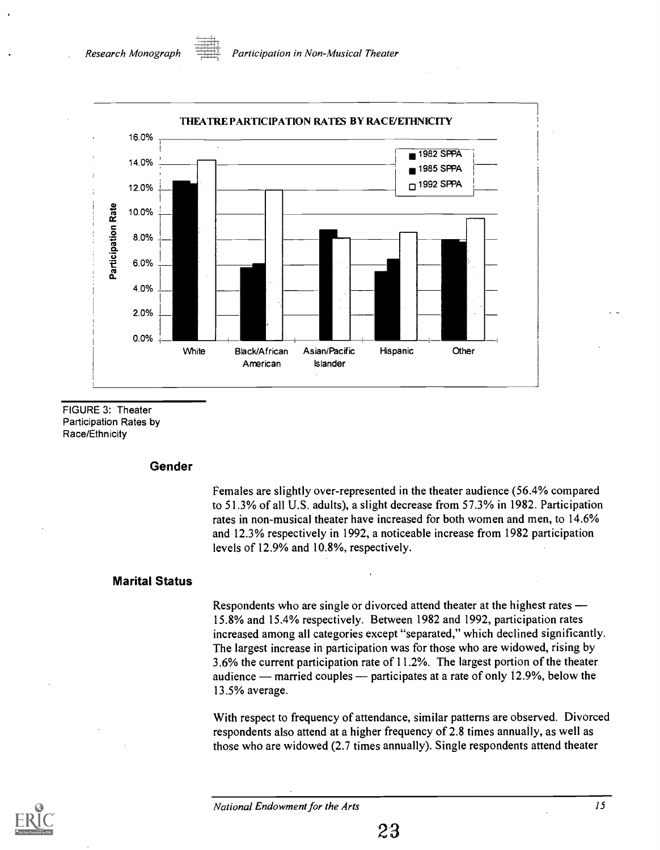

FIGURE 3: Theater Participation Rates by Race/Ethnicity

#### Gender

Females are slightly over-represented in the theater audience (56.4% compared to 51.3% of all U.S. adults), a slight decrease from 57.3% in 1982. Participation rates in non-musical theater have increased for both women and men, to 14.6% and 12.3% respectively in 1992, a noticeable increase from 1982 participation levels of 12.9% and 10.8%, respectively.

#### Marital Status

Respondents who are single or divorced attend theater at the highest rates 15.8% and 15.4% respectively. Between 1982 and 1992, participation rates increased among all categories except "separated," which declined significantly. The largest increase in participation was for those who are widowed, rising by 3.6% the current participation rate of 11.2%. The largest portion of the theater audience — married couples — participates at a rate of only  $12.9\%$ , below the 13.5% average.

With respect to frequency of attendance, similar patterns are observed. Divorced respondents also attend at a higher frequency of 2.8 times annually, as well as those who are widowed (2.7 times annually). Single respondents attend theater

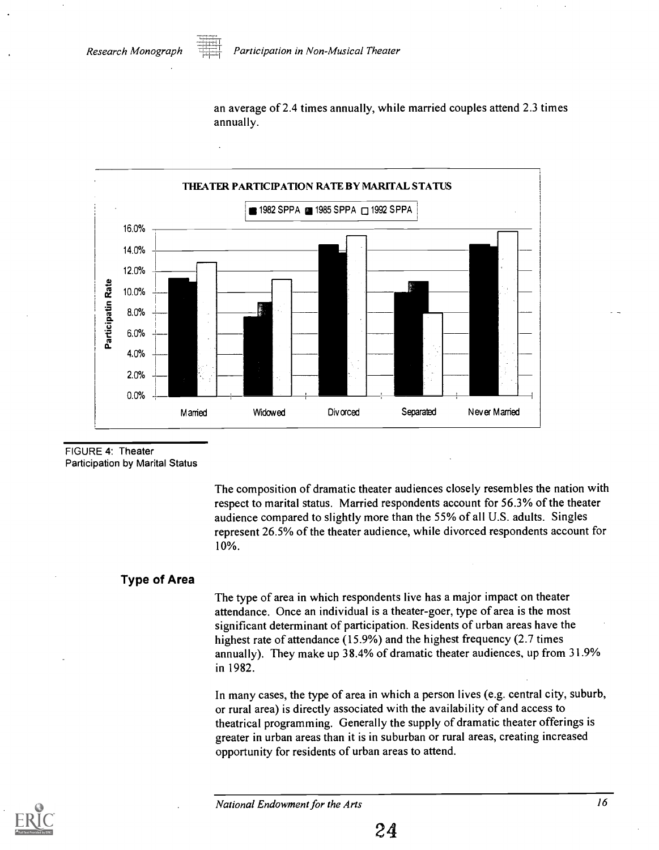an average of 2.4 times annually, while married couples attend 2.3 times annually.



FIGURE 4: Theater Participation by Marital Status

> The composition of dramatic theater audiences closely resembles the nation with respect to marital status. Married respondents account for 56.3% of the theater audience compared to slightly more than the 55% of all U.S. adults. Singles represent 26.5% of the theater audience, while divorced respondents account for 10%.

#### Type of Area

The type of area in which respondents live has a major impact on theater attendance. Once an individual is a theater-goer, type of area is the most significant determinant of participation. Residents of urban areas have the highest rate of attendance (15.9%) and the highest frequency (2.7 times annually). They make up 38.4% of dramatic theater audiences, up from 31.9% in 1982.

In many cases, the type of area in which a person lives (e.g. central city, suburb, or rural area) is directly associated with the availability of and access to theatrical programming. Generally the supply of dramatic theater offerings is greater in urban areas than it is in suburban or rural areas, creating increased opportunity for residents of urban areas to attend.

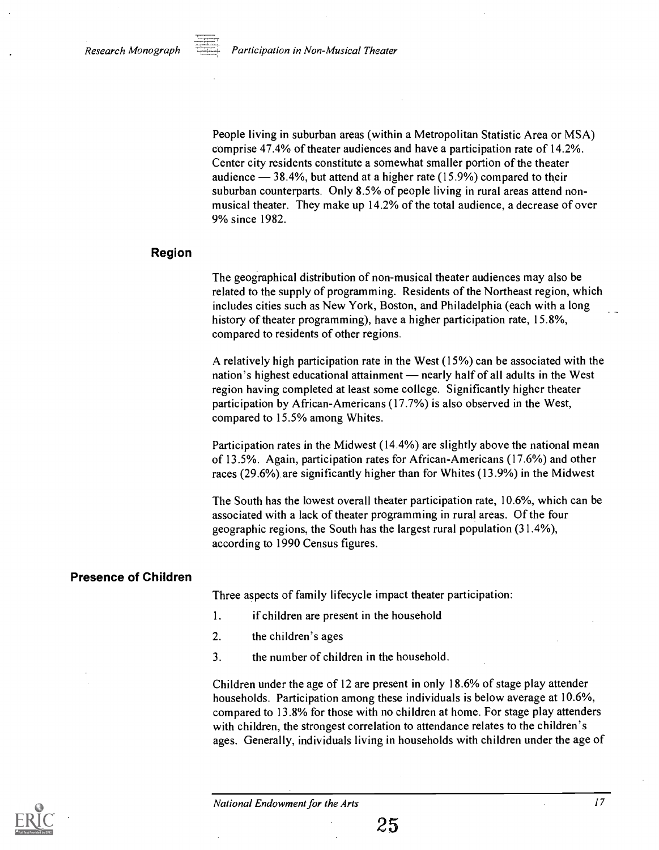People living in suburban areas (within a Metropolitan Statistic Area or MSA) comprise 47.4% of theater audiences and have a participation rate of 14.2%. Center city residents constitute a somewhat smaller portion of the theater audience  $-38.4\%$ , but attend at a higher rate (15.9%) compared to their suburban counterparts. Only 8.5% of people living in rural areas attend nonmusical theater. They make up 14.2% of the total audience, a decrease of over 9% since 1982.

#### Region

The geographical distribution of non-musical theater audiences may also be related to the supply of programming. Residents of the Northeast region, which includes cities such as New York, Boston, and Philadelphia (each with a long history of theater programming), have a higher participation rate, 15.8%, compared to residents of other regions.

A relatively high participation rate in the West (15%) can be associated with the nation's highest educational attainment — nearly half of all adults in the West region having completed at least some college. Significantly higher theater participation by African-Americans (17.7%) is also observed in the West, compared to 15.5% among Whites.

Participation rates in the Midwest (14.4%) are slightly above the national mean of 13.5%. Again, participation rates for African-Americans (17.6%) and other races (29.6%) are significantly higher than for Whites (13.9%) in the Midwest

The South has the lowest overall theater participation rate, 10.6%, which can be associated with a lack of theater programming in rural areas. Of the four geographic regions, the South has the largest rural population (31.4%), according to 1990 Census figures.

#### Presence of Children

Three aspects of family lifecycle impact theater participation:

- 1. if children are present in the household
- 2. the children's ages
- 3. the number of children in the household.

Children under the age of 12 are present in only 18.6% of stage play attender households. Participation among these individuals is below average at 10.6%, compared to 13.8% for those with no children at home. For stage play attenders with children, the strongest correlation to attendance relates to the children's ages. Generally, individuals living in households with children under the age of

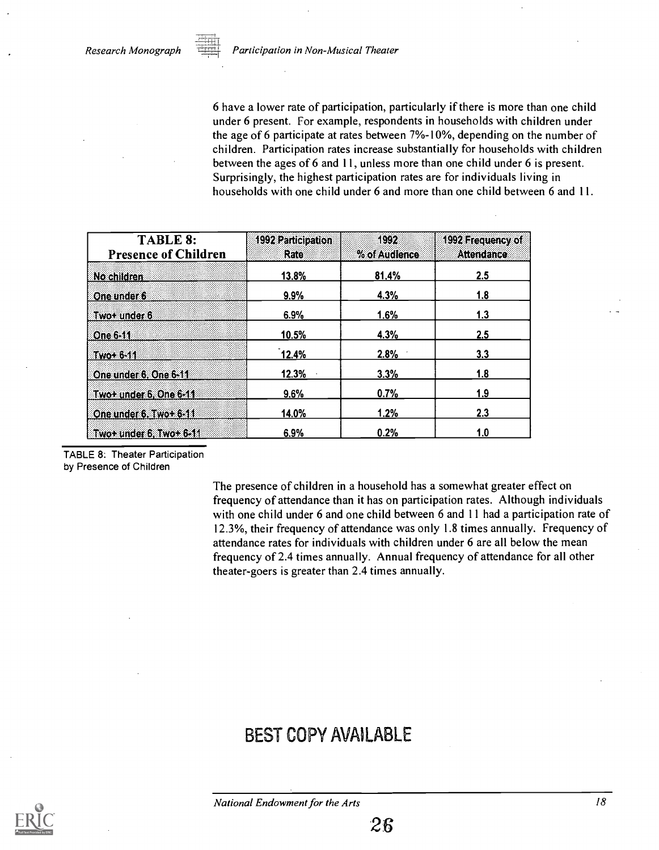6 have a lower rate of participation, particularly if there is more than one child under 6 present. For example, respondents in households with children under the age of 6 participate at rates between  $7%$ -10%, depending on the number of children. Participation rates increase substantially for households with children between the ages of 6 and 11, unless more than one child under 6 is present. Surprisingly, the highest participation rates are for individuals living in households with one child under 6 and more than one child between 6 and 11.

| <b>TABLE 8:</b><br><b>Presence of Children</b> | 1992 Participation<br><b>Rate</b> | 1992<br>% of Audience | 1992 Frequency of<br>Altent Finze |  |
|------------------------------------------------|-----------------------------------|-----------------------|-----------------------------------|--|
| No children                                    | 13.8%                             | 81.4%                 | 2.5                               |  |
| One under 6                                    | 9.9%                              | 4.3%                  | <u>1.8</u>                        |  |
| Two+ under 6                                   | 6.9%                              | 1.6%                  | 1.3                               |  |
| <b>Rone 6311</b>                               | 10.5%                             | 4.3%                  | 2.5                               |  |
| <b>TWO: 6-11</b>                               | 12.4%                             | 2.8%                  | 3.3                               |  |
| One under 6, One 6-11                          | 12.3%                             | 3.3%                  | 1.8                               |  |
| Two+ under 6, One 6-11                         | 9.6%                              | 0.7%                  | 1.9                               |  |
| One under 6. Two+ 6-11                         | 14.0%                             | 1.2%                  | 2.3                               |  |
| $\sqrt{3}$ Two+ under 6, Two+ 6-11             | 6.9%                              | 0.2%                  | 1.0                               |  |

TABLE 8: Theater Participation by Presence of Children

> The presence of children in a household has a somewhat greater effect on frequency of attendance than it has on participation rates. Although individuals with one child under 6 and one child between 6 and 11 had a participation rate of 12.3%, their frequency of attendance was only 1.8 times annually. Frequency of attendance rates for individuals with children under 6 are all below the mean frequency of 2.4 times annually. Annual frequency of attendance for all other theater-goers is greater than 2.4 times annually.

### BEST COPY AVAILABLE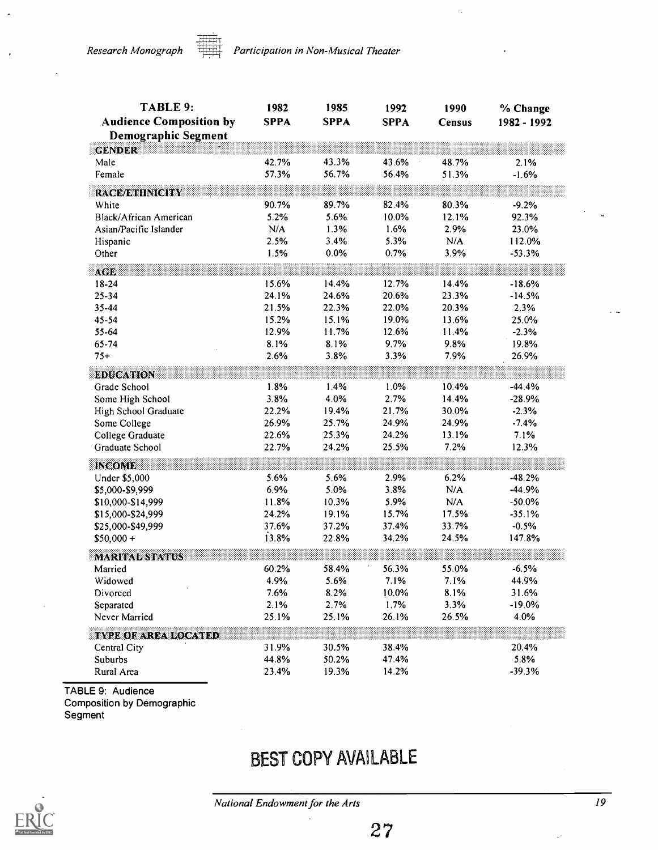Research Monograph **Participation in Non-Musical Theater** 

| <b>TABLE 9:</b>                        | 1982           | 1985           | 1992          | 1990          | % Change              |
|----------------------------------------|----------------|----------------|---------------|---------------|-----------------------|
| <b>Audience Composition by</b>         | <b>SPPA</b>    | <b>SPPA</b>    | <b>SPPA</b>   | <b>Census</b> | 1982 - 1992           |
| <b>Demographic Segment</b>             |                |                |               |               |                       |
| <b>GENDER</b>                          |                |                |               |               |                       |
| Male                                   | 42.7%          | 43.3%          | 43.6%         | 48.7%         | 2.1%                  |
| Female                                 | 57.3%          | 56.7%          | 56.4%         | 51.3%         | $-1.6%$               |
|                                        |                |                |               |               |                       |
| <b>RACE/ETHNICHTY</b>                  |                |                |               |               |                       |
| White                                  | 90.7%          | 89.7%          | 82.4%         | 80.3%         | $-9.2%$               |
| Black/African American                 | 5.2%           | 5.6%           | 10.0%         | 12.1%         | 92.3%                 |
| Asian/Pacific Islander                 | N/A            | 1.3%           | 1.6%          | 2.9%          | 23.0%                 |
| Hispanic                               | 2.5%           | 3.4%           | 5.3%          | N/A           | 112.0%                |
| Other                                  | 1.5%           | 0.0%           | 0.7%          | 3.9%          | $-53.3%$              |
| AGE                                    |                |                |               |               |                       |
| 18-24                                  | 15.6%          | 14.4%          | 12.7%         | 14.4%         | $-18.6%$              |
| 25-34                                  | 24.1%          | 24.6%          | 20.6%         | 23.3%         | $-14.5%$              |
| 35-44                                  | 21.5%          | 22.3%          | 22.0%         | 20.3%         | 2.3%                  |
| 45-54                                  | 15.2%          | 15.1%          | 19.0%         | 13.6%         | 25.0%                 |
| 55-64                                  | 12.9%          | 11.7%          | 12.6%         | 11.4%         | $-2.3%$               |
| 65-74                                  | 8.1%           | 8.1%           | 9.7%          | 9.8%          | 19.8%                 |
| $75+$                                  | 2.6%           | 3.8%           | 3.3%          | 7.9%          | 26.9%                 |
| <b>EDUCATION</b>                       |                |                |               |               |                       |
| Grade School                           | 1.8%           | 1.4%           | 1.0%          | 10.4%         | $-44.4%$              |
| Some High School                       | 3.8%           | 4.0%           | 2.7%          | 14.4%         | $-28.9%$              |
| High School Graduate                   | 22.2%          | 19.4%          | 21.7%         | 30.0%         | $-2.3%$               |
| Some College                           | 26.9%          | 25.7%          | 24.9%         | 24.9%         | $-7.4%$               |
| College Graduate                       | 22.6%          | 25.3%          | 24.2%         | 13.1%         | 7.1%                  |
| Graduate School                        | 22.7%          | 24.2%          | 25.5%         | 7.2%          | 12.3%                 |
|                                        |                |                |               |               |                       |
| <b>INCOME</b>                          |                |                |               |               |                       |
| Under \$5,000                          | 5.6%<br>6.9%   | 5.6%           | 2.9%          | 6.2%          | $-48.2%$<br>$-44.9%$  |
| \$5,000-\$9,999                        |                | 5.0%           | 3.8%          | N/A<br>N/A    |                       |
| \$10,000-\$14,999                      | 11.8%<br>24.2% | 10.3%<br>19.1% | 5.9%<br>15.7% | 17.5%         | $-50.0\%$<br>$-35.1%$ |
| \$15,000-\$24,999<br>\$25,000-\$49,999 | 37.6%          | 37.2%          | 37.4%         | 33.7%         | $-0.5%$               |
| $$50,000 +$                            | 13.8%          | 22.8%          | 34.2%         | 24.5%         | 147.8%                |
|                                        |                |                |               |               |                       |
| <b>MARITAL STATUS</b>                  |                |                |               |               |                       |
| Married                                | 60.2%          | 58.4%          | 56.3%         | 55.0%         | $-6.5%$               |
| Widowed                                | 4.9%           | 5.6%           | 7.1%          | 7.1%          | 44.9%                 |
| Divorced                               | 7.6%           | 8.2%           | $10.0\%$      | 8.1%          | 31.6%                 |
| Separated                              | 2.1%           | 2.7%           | 1.7%          | 3.3%          | $-19.0%$              |
| Never Married                          | 25.1%          | 25.1%          | 26.1%         | 26.5%         | 4.0%                  |
| <b>TYPE OF AREA LOCATED</b>            |                |                |               |               |                       |
| Central City                           | 31.9%          | 30.5%          | 38.4%         |               | 20.4%                 |
| Suburbs                                | 44.8%          | 50.2%          | 47.4%         |               | 5.8%                  |
| Rural Area                             | 23.4%          | 19.3%          | 14.2%         |               | -39.3%                |

TABLE 9: Audience Composition by Demographic Segment

### BEST COPY AVAILABLE

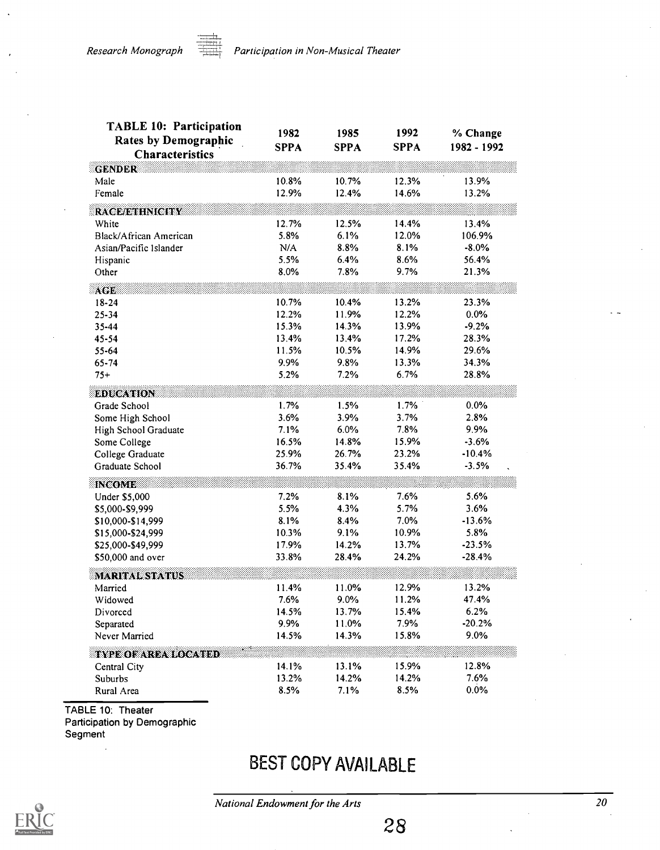| <b>TABLE 10: Participation</b><br><b>Rates by Demographic</b><br><b>Characteristics</b> | 1982<br><b>SPPA</b> | 1985<br><b>SPPA</b> | 1992<br><b>SPPA</b> | % Change<br>1982 - 1992 |
|-----------------------------------------------------------------------------------------|---------------------|---------------------|---------------------|-------------------------|
| <b>GENDER</b>                                                                           |                     |                     |                     |                         |
| Male                                                                                    | 10.8%               | 10.7%               | 12.3%               | 13.9%                   |
| Female                                                                                  | 12.9%               | 12.4%               | 14.6%               | 13.2%                   |
| <b>RACE/ETHNICITY</b>                                                                   |                     |                     |                     |                         |
| White                                                                                   | 12.7%               | 12.5%               | 14.4%               | 13.4%                   |
| Black/African American                                                                  | 5.8%                | 6.1%                | 12.0%               | 106.9%                  |
| Asian/Pacific Islander                                                                  | N/A                 | 8.8%                | 8.1%                | $-8.0\%$                |
| Hispanic                                                                                | 5.5%                | 6.4%                | 8.6%                | 56.4%                   |
| Other                                                                                   | 8.0%                | 7.8%                | 9.7%                | 21.3%                   |
| ACE                                                                                     |                     |                     |                     |                         |
| $18 - 24$                                                                               | 10.7%               | 10.4%               | 13.2%               | 23.3%                   |
| $25 - 34$                                                                               | 12.2%               | 11.9%               | 12.2%               | 0.0%                    |
| 35-44                                                                                   | 15.3%               | 14.3%               | 13.9%               | $-9.2%$                 |
| 45-54                                                                                   | 13.4%               | 13.4%               | 17.2%               | 28.3%                   |
| 55-64                                                                                   | 11.5%               | 10.5%               | 14.9%               | 29.6%                   |
| 65-74                                                                                   | 9.9%                | 9.8%                | 13.3%               | 34.3%                   |
| $75+$                                                                                   | 5.2%                | 7.2%                | 6.7%                | 28.8%                   |
| <b>EDUCATION</b>                                                                        |                     |                     |                     |                         |
| Grade School                                                                            | 1.7%                | 1.5%                | 1.7%                | $0.0\%$                 |
| Some High School                                                                        | 3.6%                | 3.9%                | 3.7%                | 2.8%                    |
| High School Graduate                                                                    | 7.1%                | 6.0%                | 7.8%                | 9.9%                    |
| Some College                                                                            | 16.5%               | 14.8%               | 15.9%               | $-3.6%$                 |
| College Graduate                                                                        | 25.9%               | 26.7%               | 23.2%               | $-10.4%$                |
| Graduate School                                                                         | 36.7%               | 35.4%               | 35.4%               | $-3.5%$                 |
| <b>INCOME</b>                                                                           |                     |                     |                     |                         |
| Under \$5,000                                                                           | 7.2%                | 8.1%                | 7.6%                | 5.6%                    |
| \$5,000-\$9,999                                                                         | 5.5%                | 4.3%                | 5.7%                | 3.6%                    |
| \$10,000-\$14,999                                                                       | 8.1%                | 8.4%                | 7.0%                | $-13.6%$                |
| \$15,000-\$24,999                                                                       | 10.3%               | 9.1%                | 10.9%               | 5.8%                    |
| \$25,000-\$49,999                                                                       | 17.9%               | 14.2%               | 13.7%               | $-23.5%$                |
| \$50,000 and over                                                                       | 33.8%               | 28.4%               | 24.2%               | $-28.4%$                |
| <b>MARITAL STATUS</b>                                                                   |                     |                     |                     |                         |
| Married                                                                                 | 11.4%               | 11.0%               | 12.9%               | 13.2%                   |
| Widowed                                                                                 | 7.6%                | 9.0%                | 11.2%               | 47.4%                   |
| Divorced                                                                                | 14.5%               | 13.7%               | 15.4%               | 6.2%                    |
| Separated                                                                               | 9.9%                | 11.0%               | 7.9%                | $-20.2%$                |
| Never Married                                                                           | 14.5%               | 14.3%               | 15.8%               | 9.0%                    |
| <b>TYPE OF AREA LOCATED</b>                                                             |                     |                     |                     |                         |
| Central City                                                                            | 14.1%               | 13.1%               | 15.9%               | 12.8%                   |
| Suburbs                                                                                 | 13.2%               | 14.2%               | 14.2%               | 7.6%                    |
| Rural Area                                                                              | 8.5%                | 7.1%                | 8.5%                | 0.0%                    |

TABLE 10: Theater Participation by Demographic Segment

### BEST COPY AVAILABLE

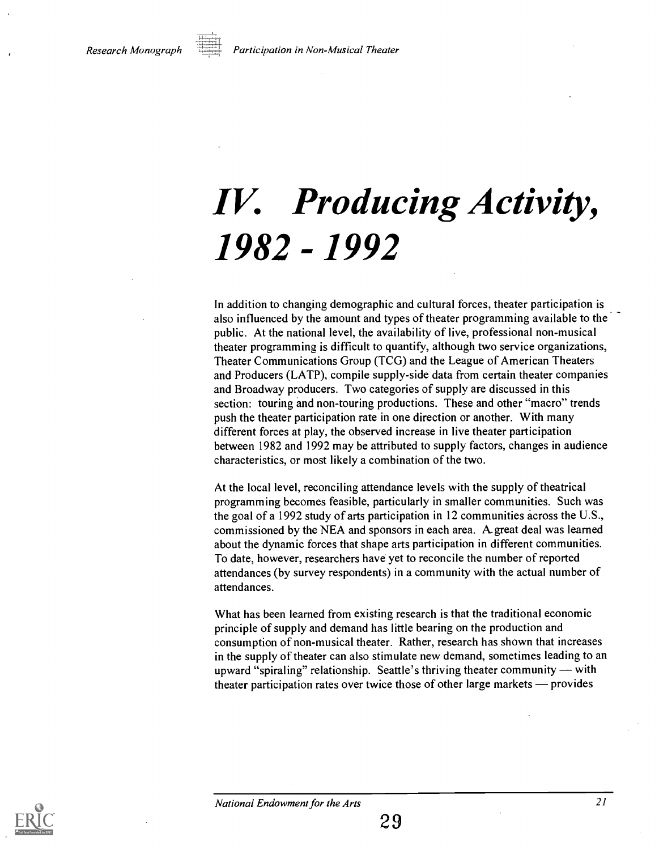# IV. Producing Activity, 1982 -1992

In addition to changing demographic and cultural forces, theater participation is also influenced by the amount and types of theater programming available to the public. At the national level, the availability of live, professional non-musical theater programming is difficult to quantify, although two service organizations, Theater Communications Group (TCG) and the League of American Theaters and Producers (LATP), compile supply-side data from certain theater companies and Broadway producers. Two categories of supply are discussed in this section: touring and non-touring productions. These and other "macro" trends push the theater participation rate in one direction or another. With many different forces at play, the observed increase in live theater participation between 1982 and 1992 may be attributed to supply factors, changes in audience characteristics, or most likely a combination of the two.

At the local level, reconciling attendance levels with the supply of theatrical programming becomes feasible, particularly in smaller communities. Such was the goal of a 1992 study of arts participation in 12 communities across the U.S., commissioned by the NEA and sponsors in each area. A.great deal was learned about the dynamic forces that shape arts participation in different communities. To date, however, researchers have yet to reconcile the number of reported attendances (by survey respondents) in a community with the actual number of attendances.

What has been learned from existing research is that the traditional economic principle of supply and demand has little bearing on the production and consumption of non-musical theater. Rather, research has shown that increases in the supply of theater can also stimulate new demand, sometimes leading to an upward "spiraling" relationship. Seattle's thriving theater community  $-$  with theater participation rates over twice those of other large markets  $-$  provides

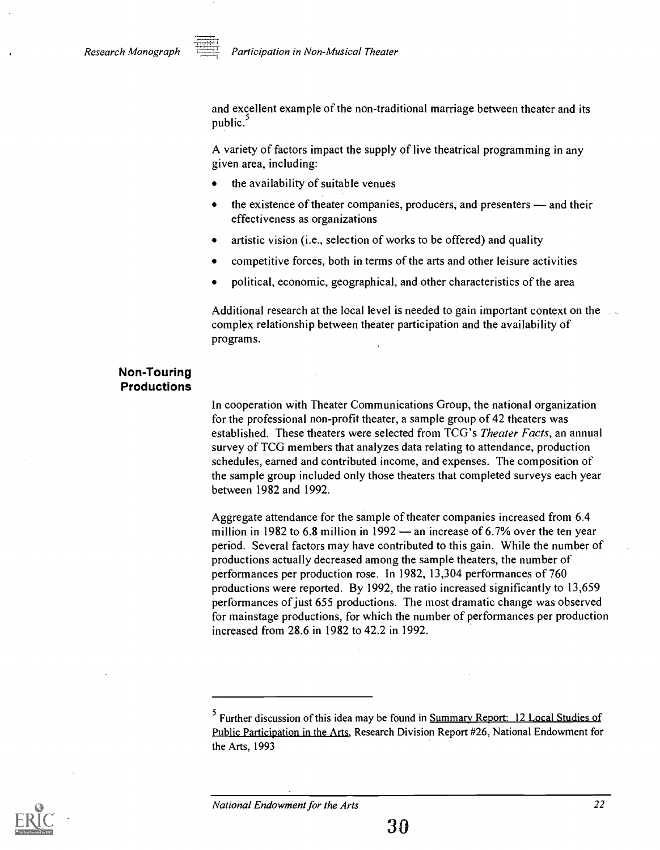and excellent example of the non-traditional marriage between theater and its public.<sup>3</sup>

A variety of factors impact the supply of live theatrical programming in any given area, including:

- the availability of suitable venues
- the existence of theater companies, producers, and presenters and their effectiveness as organizations
- artistic vision (i.e., selection of works to be offered) and quality
- competitive forces, both in terms of the arts and other leisure activities
- political, economic, geographical, and other characteristics of the area

Additional research at the local level is needed to gain important context on the complex relationship between theater participation and the availability of programs.

#### Non-Touring Productions

In cooperation with Theater Communications Group, the national organization for the professional non-profit theater, a sample group of 42 theaters was established. These theaters were selected from TCG's Theater Facts, an annual survey of TCG members that analyzes data relating to attendance, production schedules, earned and contributed income, and expenses. The composition of the sample group included only those theaters that completed surveys each year between 1982 and 1992.

Aggregate attendance for the sample of theater companies increased from 6.4 million in 1982 to 6.8 million in 1992  $-$  an increase of 6.7% over the ten year period. Several factors may have contributed to this gain. While the number of productions actually decreased among the sample theaters, the number of performances per production rose. In 1982, 13,304 performances of 760 productions were reported. By 1992, the ratio increased significantly to 13,659 performances of just 655 productions. The most dramatic change was observed for mainstage productions, for which the number of performances per production increased from 28.6 in 1982 to 42.2 in 1992.



<sup>5</sup> Further discussion of this idea may be found in Summary Report: 12 Local Studies of Public Participation in the Arts, Research Division Report #26, National Endowment for the Arts, 1993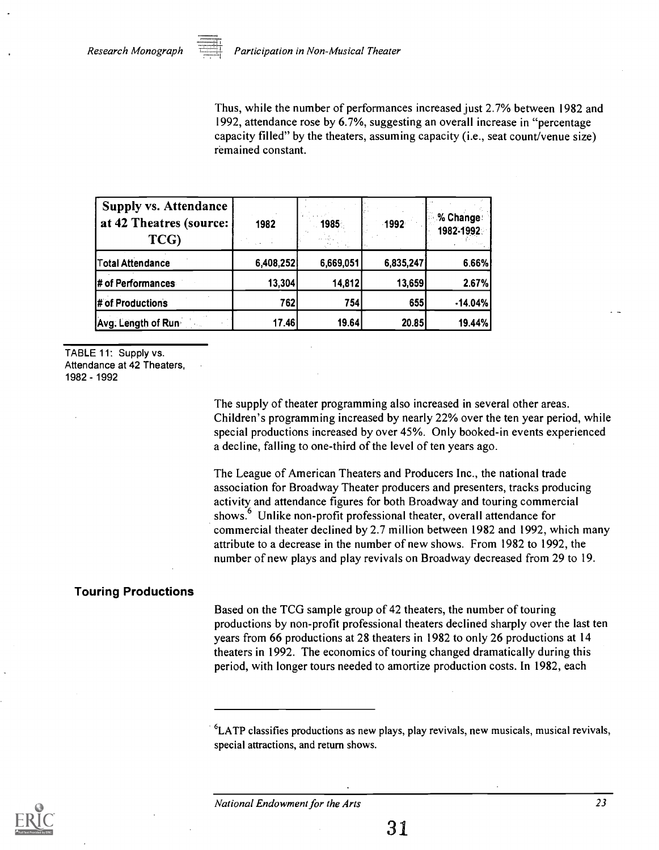Thus, while the number of performances increased just 2.7% between 1982 and 1992, attendance rose by 6.7%, suggesting an overall increase in "percentage capacity filled" by the theaters, assuming capacity (i.e., seat count/venue size) remained constant.

| <b>Supply vs. Attendance</b><br>at 42 Theatres (source:<br>TCG) | 1982      | 1985      | $-1992$   | % Change<br>1982-1992 |
|-----------------------------------------------------------------|-----------|-----------|-----------|-----------------------|
| Total Attendance                                                | 6,408,252 | 6,669,051 | 6,835,247 | 6.66%                 |
| # of Performances                                               | 13,304    | 14,812    | 13,659    | 2.67%                 |
| # of Productions                                                | 762       | 754       | 655       | $-14.04%$             |
| Avg. Length of Run                                              | 17.46     | 19.64     | 20.85     | 19.44%                |

TABLE 11: Supply vs. Attendance at 42 Theaters, 1982 - 1992

> The supply of theater programming also increased in several other areas. Children's programming increased by nearly 22% over the ten year period, while special productions increased by over 45%. Only booked-in events experienced a decline, falling to one-third of the level of ten years ago.

> The League of American Theaters and Producers Inc., the national trade association for Broadway Theater producers and presenters, tracks producing activity and attendance figures for both Broadway and touring commercial shows.<sup>6</sup> Unlike non-profit professional theater, overall attendance for commercial theater declined by 2.7 million between 1982 and 1992, which many attribute to a decrease in the number of new shows. From 1982 to 1992, the number of new plays and play revivals on Broadway decreased from 29 to 19.

#### Touring Productions

Based on the TCG sample group of 42 theaters, the number of touring productions by non-profit professional theaters declined sharply over the last ten years from 66 productions at 28 theaters in 1982 to only 26 productions at 14 theaters in 1992. The economics of touring changed dramatically during this period, with longer tours needed to amortize production costs. In 1982, each



 ${}^{6}$ LATP classifies productions as new plays, play revivals, new musicals, musical revivals, special attractions, and return shows.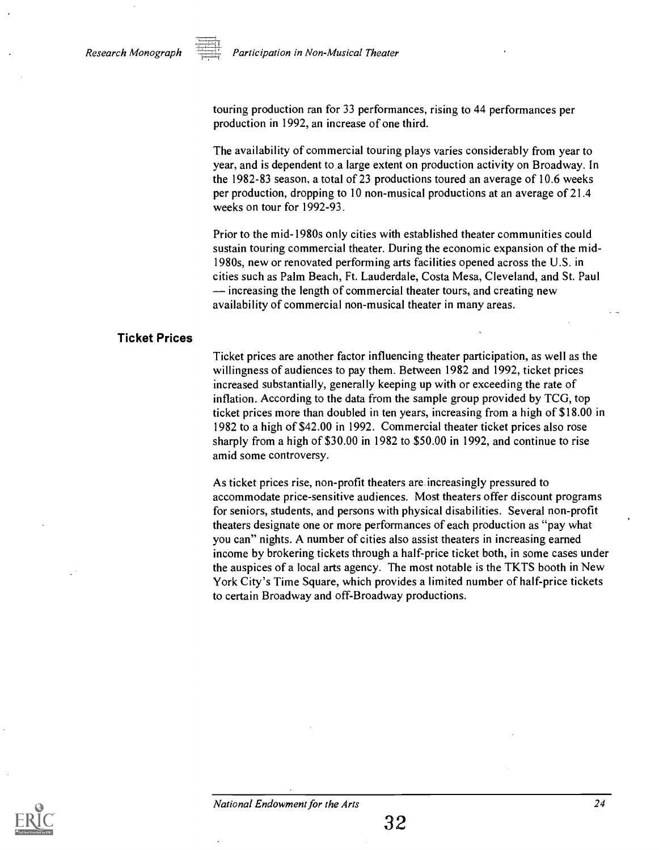

Participation in Non-Musical Theater

touring production ran for 33 performances, rising to 44 performances per production in 1992, an increase of one third.

The availability of commercial touring plays varies considerably from year to year, and is dependent to a large extent on production activity on Broadway. In the 1982-83 season, a total of 23 productions toured an average of 10.6 weeks per production, dropping to 10 non-musical productions at an average of 21.4 weeks on tour for 1992-93.

Prior to the mid-1980s only cities with established theater communities could sustain touring commercial theater. During the economic expansion of the mid 1980s, new or renovated performing arts facilities opened across the U.S. in cities such as Palm Beach, Ft. Lauderdale, Costa Mesa, Cleveland, and St. Paul  $\frac{1}{1}$  increasing the length of commercial theater tours, and creating new availability of commercial non-musical theater in many areas.

#### Ticket Prices

Ticket prices are another factor influencing theater participation, as well as the willingness of audiences to pay them. Between 1982 and 1992, ticket prices increased substantially, generally keeping up with or exceeding the rate of inflation. According to the data from the sample group provided by TCG, top ticket prices more than doubled in ten years, increasing from a high of \$18.00 in 1982 to a high of \$42.00 in 1992. Commercial theater ticket prices also rose sharply from a high of \$30.00 in 1982 to \$50.00 in 1992, and continue to rise amid some controversy.

As ticket prices rise, non-profit theaters are increasingly pressured to accommodate price-sensitive audiences. Most theaters offer discount programs for seniors, students, and persons with physical disabilities. Several non-profit theaters designate one or more performances of each production as "pay what you can" nights. A number of cities also assist theaters in increasing earned income by brokering tickets through a half-price ticket both, in some cases under the auspices of a local arts agency. The most notable is the TKTS booth in New York City's Time Square, which provides a limited number of half-price tickets to certain Broadway and off-Broadway productions.

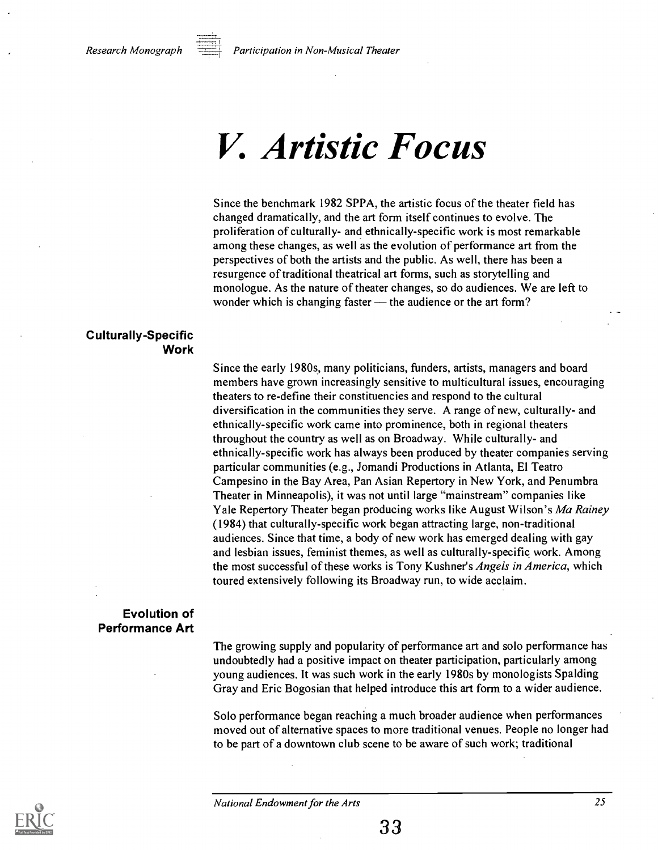### V. Artistic Focus

Since the benchmark 1982 SPPA, the artistic focus of the theater field has changed dramatically, and the art form itself continues to evolve. The proliferation of culturally- and ethnically-specific work is most remarkable among these changes, as well as the evolution of performance art from the perspectives of both the artists and the public. As well, there has been a resurgence of traditional theatrical art forms, such as storytelling and monologue. As the nature of theater changes, so do audiences. We are left to wonder which is changing faster — the audience or the art form?

#### Culturally-Specific Work

Since the early 1980s, many politicians, funders, artists, managers and board members have grown increasingly sensitive to multicultural issues, encouraging theaters to re-define their constituencies and respond to the cultural diversification in the communities they serve. A range of new, culturally- and ethnically-specific work came into prominence, both in regional theaters throughout the country as well as on Broadway. While culturally- and ethnically-specific work has always been produced by theater companies serving particular communities (e.g., Jomandi Productions in Atlanta, El Teatro Campesino in the Bay Area, Pan Asian Repertory in New York, and Penumbra Theater in Minneapolis), it was not until large "mainstream" companies like Yale Repertory Theater began producing works like August Wilson's Ma Rainey (1984) that culturally-specific work began attracting large, non-traditional audiences. Since that time, a body of new work has emerged dealing with gay and lesbian issues, feminist themes, as well as culturally-specific work. Among the most successful of these works is Tony Kushner's *Angels in America*, which toured extensively following its Broadway run, to wide acclaim.

#### Evolution of Performance Art

The growing supply and popularity of performance art and solo performance has undoubtedly had a positive impact on theater participation, particularly among young audiences. It was such work in the early 1980s by monologists Spalding Gray and Eric Bogosian that helped introduce this art form to a wider audience.

Solo performance began reaching a much broader audience when performances moved out of alternative spaces to more traditional venues. People no longer had to be part of a downtown club scene to be aware of such work; traditional

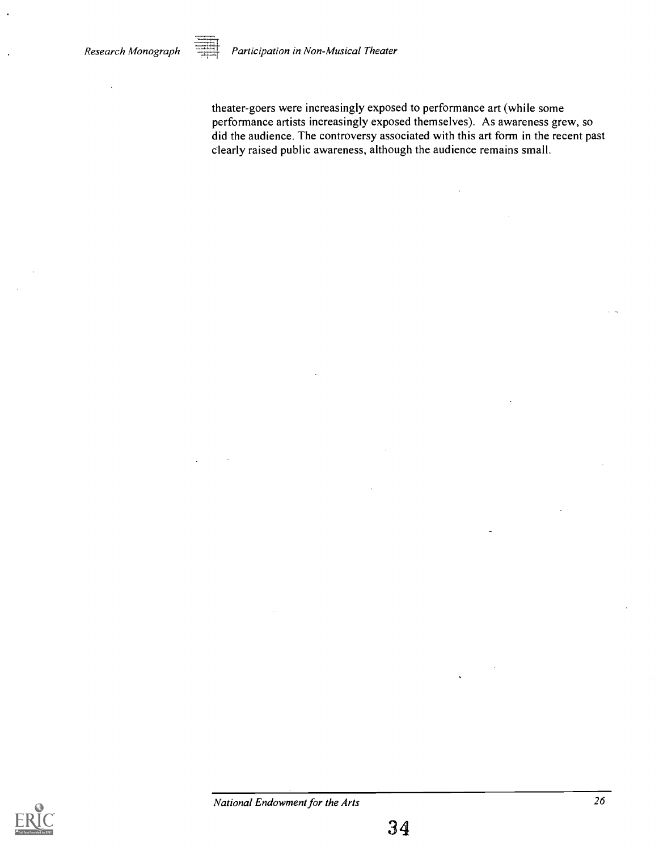$Research Monograph$   $\overline{1,2,3}$  Participation in Non-Musical Theater

theater-goers were increasingly exposed to performance art (while some performance artists increasingly exposed themselves). As awareness grew, so did the audience. The controversy associated with this art form in the recent past clearly raised public awareness, although the audience remains small.

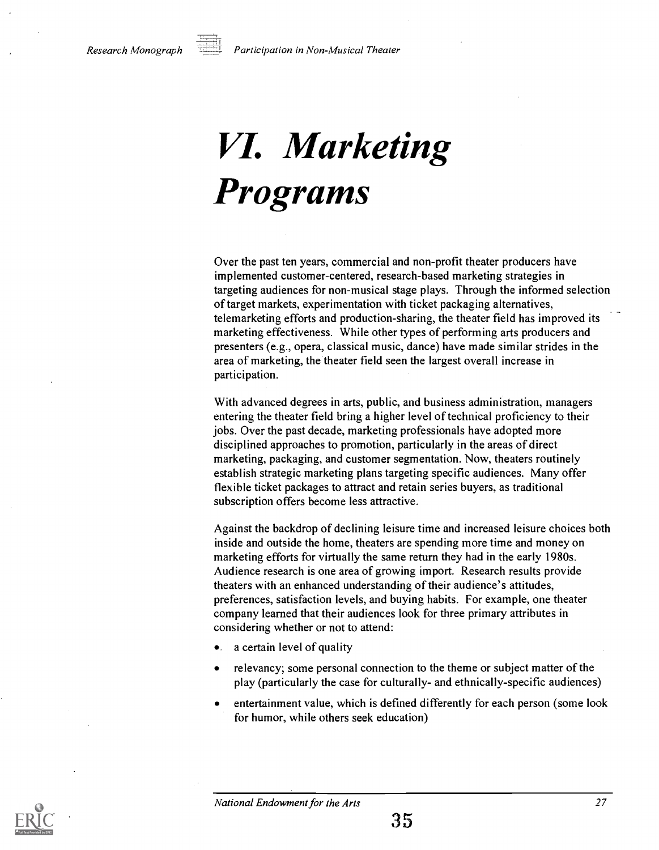Research Monograph  $\overline{p}$  Participation in Non-Musical Theater

# VI. Marketing Programs

Over the past ten years, commercial and non-profit theater producers have implemented customer-centered, research-based marketing strategies in targeting audiences for non-musical stage plays. Through the informed selection of target markets, experimentation with ticket packaging alternatives, telemarketing efforts and production-sharing, the theater field has improved its marketing effectiveness. While other types of performing arts producers and presenters (e.g., opera, classical music, dance) have made similar strides in the area of marketing, the theater field seen the largest overall increase in participation.

With advanced degrees in arts, public, and business administration, managers entering the theater field bring a higher level of technical proficiency to their jobs. Over the past decade, marketing professionals have adopted more disciplined approaches to promotion, particularly in the areas of direct marketing, packaging, and customer segmentation. Now, theaters routinely establish strategic marketing plans targeting specific audiences. Many offer flexible ticket packages to attract and retain series buyers, as traditional subscription offers become less attractive.

Against the backdrop of declining leisure time and increased leisure choices both inside and outside the home, theaters are spending more time and money on marketing efforts for virtually the same return they had in the early 1980s. Audience research is one area of growing import. Research results provide theaters with an enhanced understanding of their audience's attitudes, preferences, satisfaction levels, and buying habits. For example, one theater company learned that their audiences look for three primary attributes in considering whether or not to attend:

- a certain level of quality  $\bullet$
- relevancy; some personal connection to the theme or subject matter of the play (particularly the case for culturally- and ethnically-specific audiences)
- entertainment value, which is defined differently for each person (some look for humor, while others seek education)

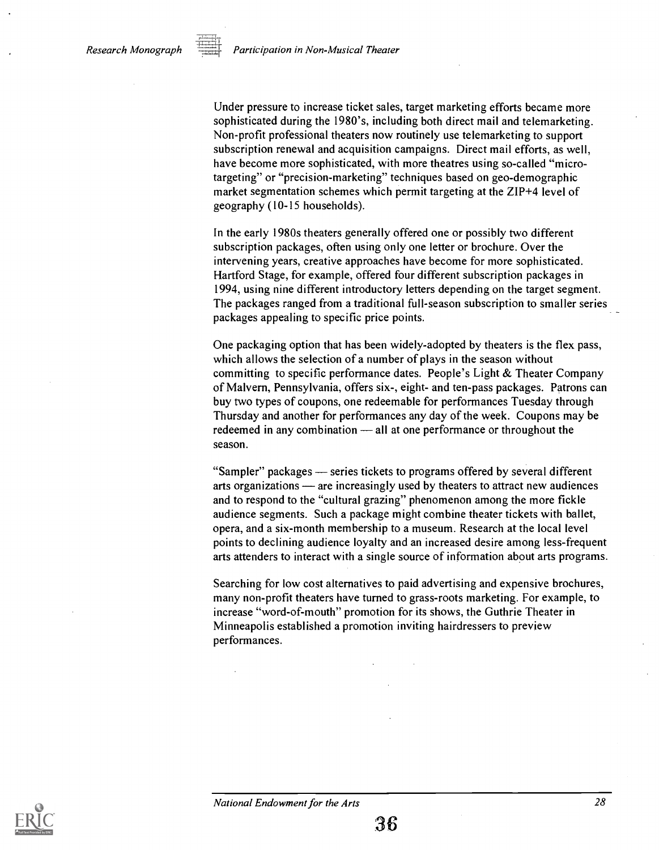Under pressure to increase ticket sales, target marketing efforts became more sophisticated during the 1980's, including both direct mail and telemarketing. Non-profit professional theaters now routinely use telemarketing to support subscription renewal and acquisition campaigns. Direct mail efforts, as well, have become more sophisticated, with more theatres using so-called "microtargeting" or "precision-marketing" techniques based on geo-demographic market segmentation schemes which permit targeting at the ZIP+4 level of geography (10-15 households).

In the early 1980s theaters generally offered one or possibly two different subscription packages, often using only one letter or brochure. Over the intervening years, creative approaches have become for more sophisticated. Hartford Stage, for example, offered four different subscription packages in 1994, using nine different introductory letters depending on the target segment. The packages ranged from a traditional full-season subscription to smaller series packages appealing to specific price points.

One packaging option that has been widely-adopted by theaters is the flex pass, which allows the selection of a number of plays in the season without committing to specific performance dates. People's Light & Theater Company of Malvern, Pennsylvania, offers six-, eight- and ten-pass packages. Patrons can buy two types of coupons, one redeemable for performances Tuesday through Thursday and another for performances any day of the week. Coupons may be redeemed in any combination — all at one performance or throughout the season.

"Sampler" packages — series tickets to programs offered by several different arts organizations — are increasingly used by theaters to attract new audiences and to respond to the "cultural grazing" phenomenon among the more fickle audience segments. Such a package might combine theater tickets with ballet, opera, and a six-month membership to a museum. Research at the local level points to declining audience loyalty and an increased desire among less-frequent arts attenders to interact with a single source of information about arts programs.

Searching for low cost alternatives to paid advertising and expensive brochures, many non-profit theaters have turned to grass-roots marketing. For example, to increase "word-of-mouth" promotion for its shows, the Guthrie Theater in Minneapolis established a promotion inviting hairdressers to preview performances.

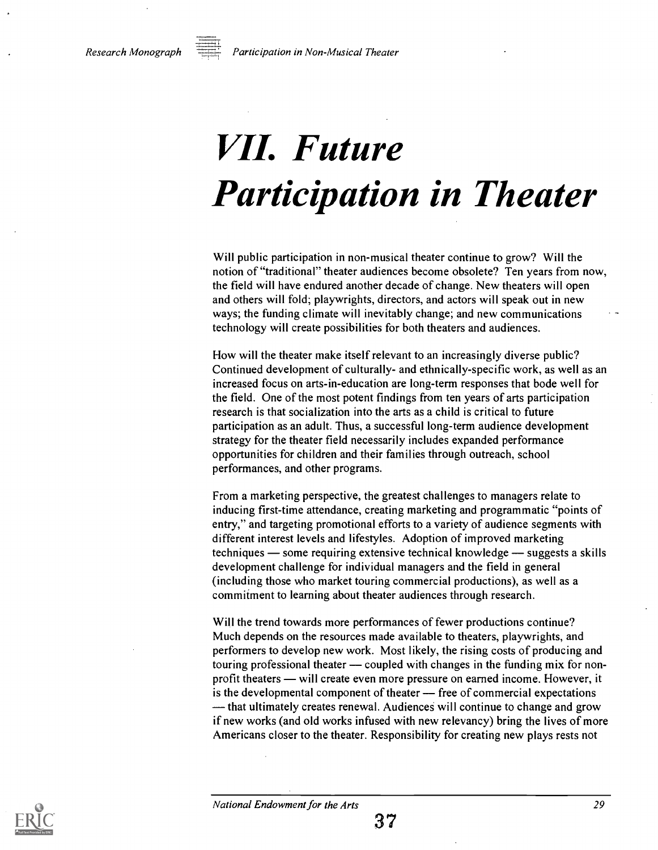

Research Monograph **Face Constants and Tennish Research Monograph** 

# VII. Future Participation in Theater

Will public participation in non-musical theater continue to grow? Will the notion of "traditional" theater audiences become obsolete? Ten years from now, the field will have endured another decade of change. New theaters will open and others will fold; playwrights, directors, and actors will speak out in new ways; the funding climate will inevitably change; and new communications technology will create possibilities for both theaters and audiences.

How will the theater make itself relevant to an increasingly diverse public? Continued development of culturally- and ethnically-specific work, as well as an increased focus on arts-in-education are long-term responses that bode well for the field. One of the most potent findings from ten years of arts participation research is that socialization into the arts as a child is critical to future participation as an adult. Thus, a successful long-term audience development strategy for the theater field necessarily includes expanded performance opportunities for children and their families through outreach, school performances, and other programs.

From a marketing perspective, the greatest challenges to managers relate to inducing first-time attendance, creating marketing and programmatic "points of entry," and targeting promotional efforts to a variety of audience segments with different interest levels and lifestyles. Adoption of improved marketing techniques  $\sim$  some requiring extensive technical knowledge  $\sim$  suggests a skills development challenge for individual managers and the field in general (including those who market touring commercial productions), as well as a commitment to learning about theater audiences through research.

Will the trend towards more performances of fewer productions continue? Much depends on the resources made available to theaters, playwrights, and performers to develop new work. Most likely, the rising costs of producing and touring professional theater — coupled with changes in the funding mix for nonprofit theaters — will create even more pressure on earned income. However, it is the developmental component of theater  $\frac{1}{\sqrt{1-\frac{1}{\sqrt{1-\frac{1}{\sqrt{1-\frac{1}{\sqrt{1-\frac{1}{\sqrt{1-\frac{1}{\sqrt{1-\frac{1}{\sqrt{1-\frac{1}{\sqrt{1-\frac{1}{\sqrt{1-\frac{1}{\sqrt{1-\frac{1}{\sqrt{1-\frac{1}{\sqrt{1-\frac{1}{\sqrt{1-\frac{1}{\sqrt{1-\frac{1}{\sqrt{1-\frac{1}{\sqrt{1-\frac{1}{\sqrt{1-\frac{1}{\sqrt{1-\frac{1}{\sqrt{1-\frac{1}{\sqrt$ - that ultimately creates renewal. Audiences will continue to change and grow if new works (and old works infused with new relevancy) bring the lives of more Americans closer to the theater. Responsibility for creating new plays rests not

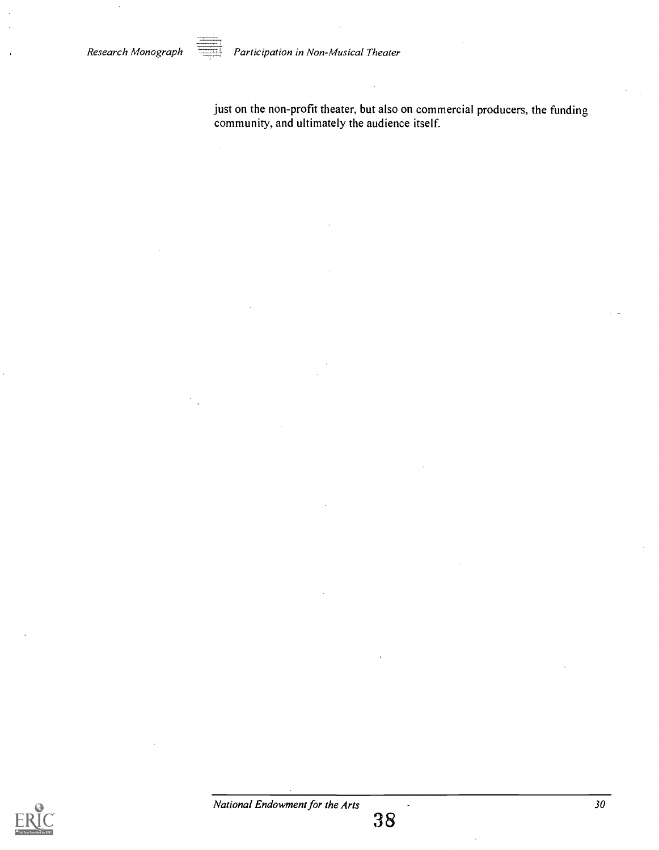

 $\bar{z}$ 

Research Monograph **Participation in Non-Musical Theater** 

just on the non-profit theater, but also on commercial producers, the funding community, and ultimately the audience itself.

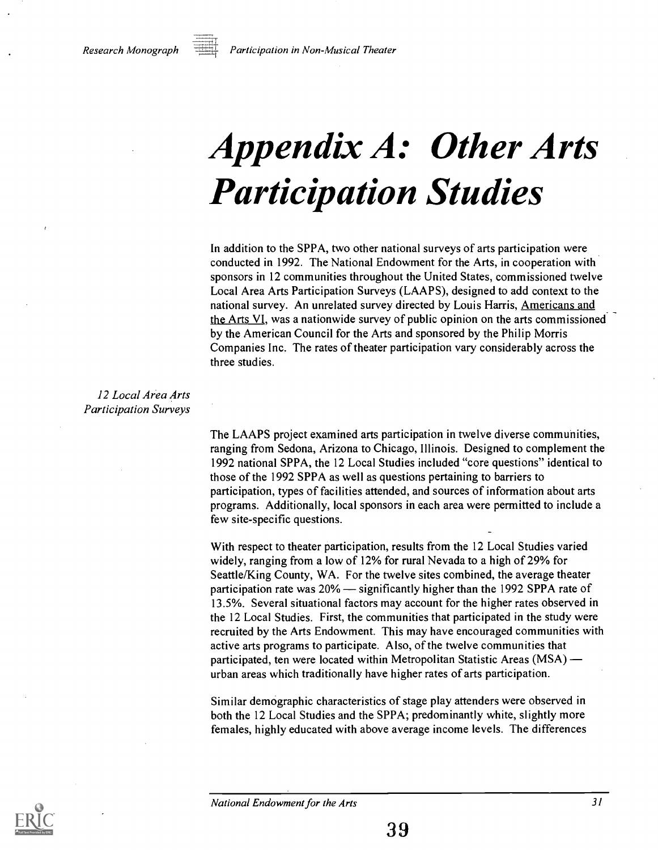

Research Monograph  $\equiv$  Participation in Non-Musical Theater

## Appendix A: Other Arts Participation Studies

In addition to the SPPA, two other national surveys of arts participation were conducted in 1992. The National Endowment for the Arts, in cooperation with sponsors in 12 communities throughout the United States, commissioned twelve Local Area Arts Participation Surveys (LAAPS), designed to add context to the national survey. An unrelated survey directed by Louis Harris, Americans and the Arts VI, was a nationwide survey of public opinion on the arts commissioned by the American Council for the Arts and sponsored by the Philip Morris Companies Inc. The rates of theater participation vary considerably across the three studies.

12 Local Area Arts Participation Surveys

> The LAAPS project examined arts participation in twelve diverse communities, ranging from Sedona, Arizona to Chicago, Illinois. Designed to complement the 1992 national SPPA, the 12 Local Studies included "core questions" identical to those of the 1992 SPPA as well as questions pertaining to barriers to participation, types of facilities attended, and sources of information about arts programs. Additionally, local sponsors in each area were permitted to include a few site-specific questions.

> With respect to theater participation, results from the 12 Local Studies varied widely, ranging from a low of 12% for rural Nevada to a high of 29% for Seattle/King County, WA. For the twelve sites combined, the average theater participation rate was  $20\%$  — significantly higher than the 1992 SPPA rate of 13.5%. Several situational factors may account for the higher rates observed in the 12 Local Studies. First, the communities that participated in the study were recruited by the Arts Endowment. This may have encouraged communities with active arts programs to participate. Also, of the twelve communities that participated, ten were located within Metropolitan Statistic Areas (MSA) urban areas which traditionally have higher rates of arts participation.

Similar demographic characteristics of stage play attenders were observed in both the 12 Local Studies and the SPPA; predominantly white, slightly more females, highly educated with above average income levels. The differences

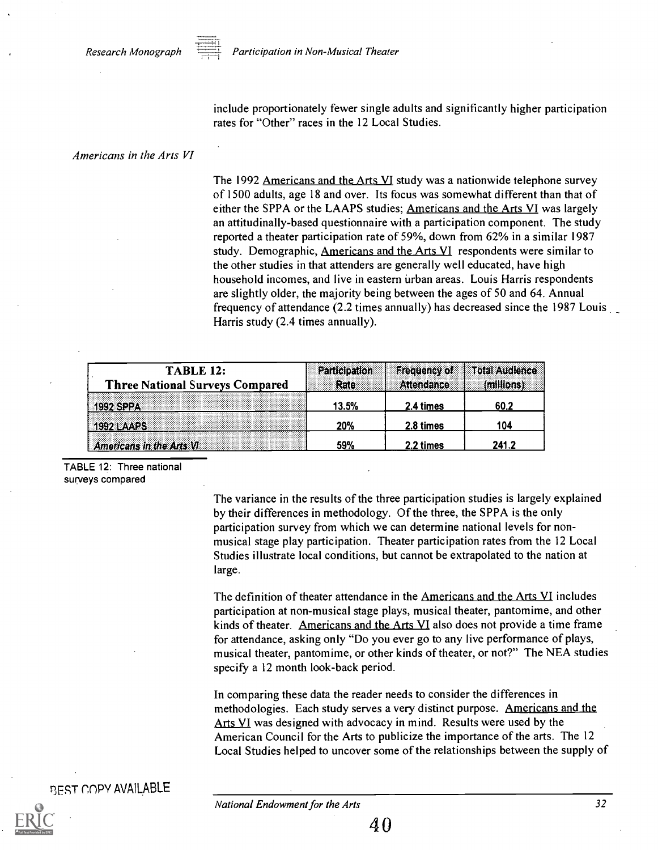

include proportionately fewer single adults and significantly higher participation rates for "Other" races in the 12 Local Studies.

#### Americans in the Arts VI

The 1992 Americans and the Arts VI study was a nationwide telephone survey of 1500 adults, age 18 and over. Its focus was somewhat different than that of either the SPPA or the LAAPS studies; Americans and the Arts VI was largely an attitudinally-based questionnaire with a participation component. The study reported a theater participation rate of 59%, down from 62% in a similar 1987 study. Demographic, Americans and the Arts VI respondents were similar to the other studies in that attenders are generally well educated, have high household incomes, and live in eastern urban areas. Louis Harris respondents are slightly older, the majority being between the ages of 50 and 64. Annual frequency of attendance (2.2 times annually) has decreased since the 1987 Louis Harris study (2.4 times annually).

| <b>TABLE 12:</b>                       | Participation | <b>Frequency of</b> | <b>Total Audience</b> |
|----------------------------------------|---------------|---------------------|-----------------------|
| <b>Three National Surveys Compared</b> | Rate          | Attendance          | (millions)            |
|                                        | 13.5%         | 2.4 times           | 60.2                  |
|                                        | 20%           | 2.8 times           | 104                   |
| Americans in the Arts VI               | 59%           | 2.2 times           | 241.2                 |

TABLE 12: Three national surveys compared

> The variance in the results of the three participation studies is largely explained by their differences in methodology. Of the three, the SPPA is the only participation survey from which we can determine national levels for nonmusical stage play participation. Theater participation rates from the 12 Local Studies illustrate local conditions, but cannot be extrapolated to the nation at large.

The definition of theater attendance in the Americans and the Arts VI includes participation at non-musical stage plays, musical theater, pantomime, and other kinds of theater. Americans and the Arts VI also does not provide a time frame for attendance, asking only "Do you ever go to any live performance of plays, musical theater, pantomime, or other kinds of theater, or not?" The NEA studies specify a 12 month look-back period.

In comparing these data the reader needs to consider the differences in methodologies. Each study serves a very distinct purpose. Americans and the Arts VI was designed with advocacy in mind. Results were used by the American Council for the Arts to publicize the importance of the arts. The 12 Local Studies helped to uncover some of the relationships between the supply of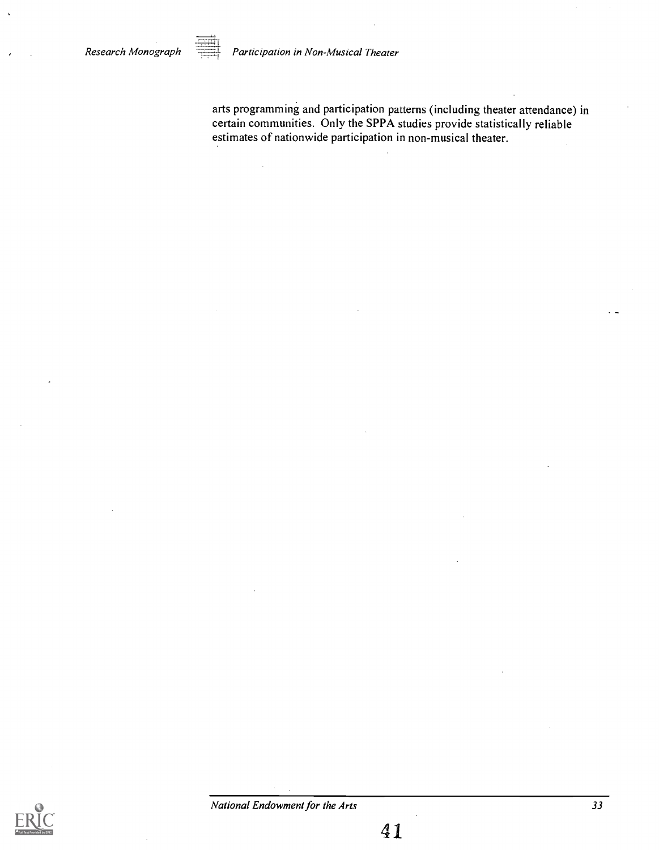Research Monograph Participation in Non-Musical Theater

arts programming and participation patterns (including theater attendance) in certain communities. Only the SPPA studies provide statistically reliable estimates of nationwide participation in non-musical theater.

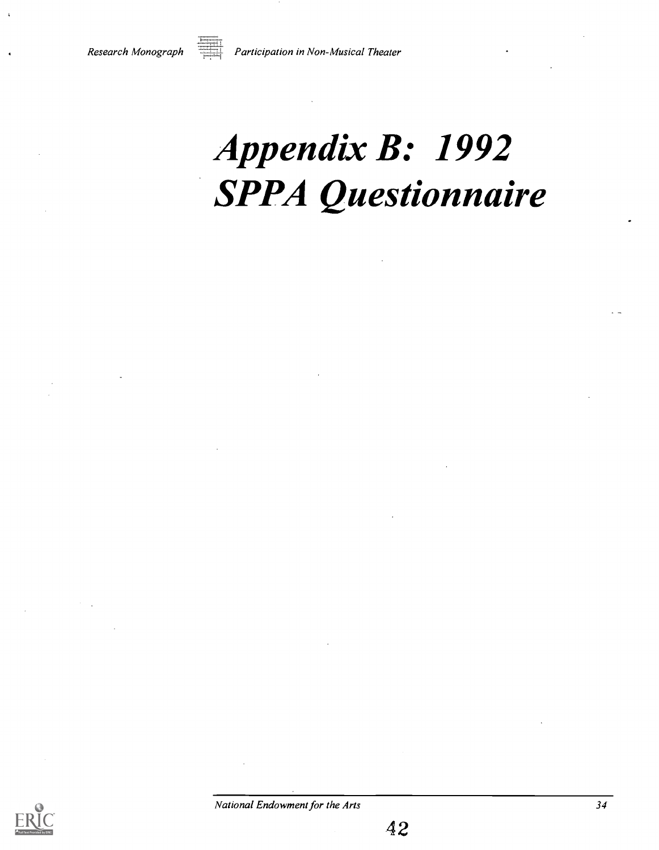

Research Monograph  $\overline{=}$  Participation in Non-Musical Theater

# Appendix B: 1992 SPPA Questionnaire



42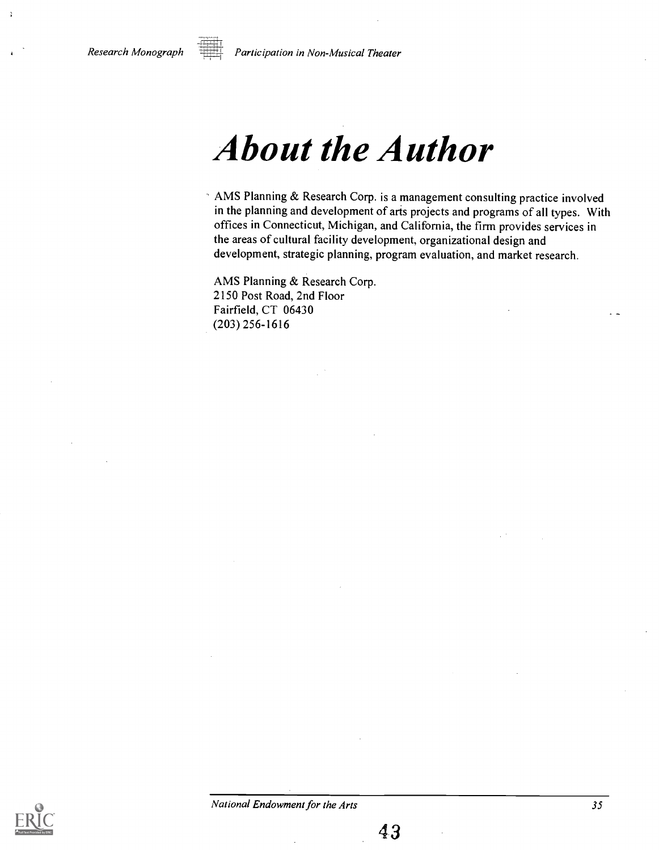

Research Monograph Participation in Non-Musical Theater

### About the Author

AMS Planning & Research Corp. is a management consulting practice involved in the planning and development of arts projects and programs of all types. With offices in Connecticut, Michigan, and California, the firm provides services in the areas of cultural facility development, organizational design and development, strategic planning, program evaluation, and market research.

AMS Planning & Research Corp. 2150 Post Road, 2nd Floor Fairfield, CT 06430 (203) 256-1616

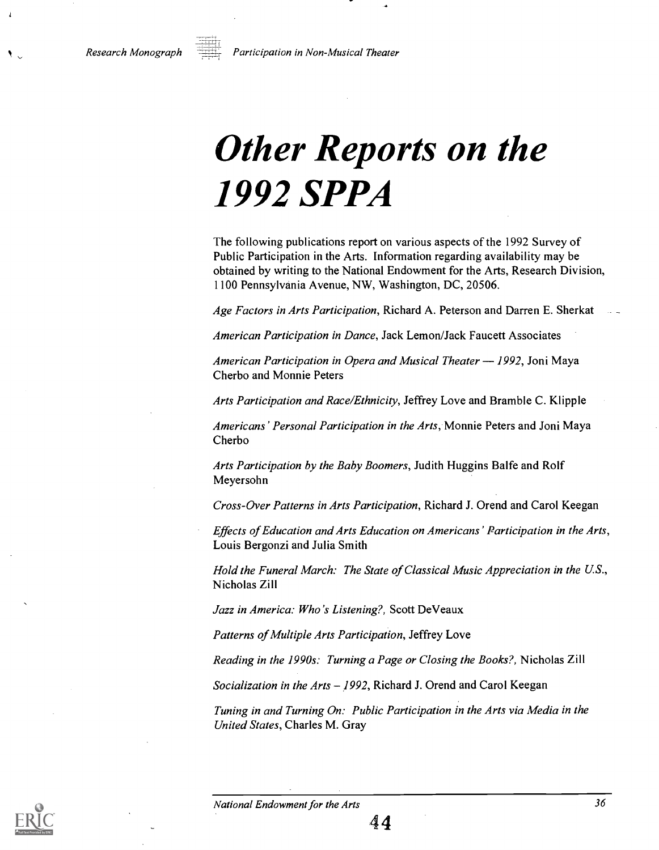Research Monograph  $P$ articipation in Non-Musical Theater

## Other Reports on the 1992 SPPA

The following publications report on various aspects of the 1992 Survey of Public Participation in the Arts. Information regarding availability may be obtained by writing to the National Endowment for the Arts, Research Division, 1100 Pennsylvania Avenue, NW, Washington, DC, 20506.

Age Factors in Arts Participation, Richard A. Peterson and Darren E. Sherkat

American Participation in Dance, Jack Lemon/Jack Faucett Associates

American Participation in Opera and Musical Theater  $-1992$ , Joni Maya Cherbo and Monnie Peters

Arts Participation and Race/Ethnicity, Jeffrey Love and Bramble C. Klipple

Americans' Personal Participation in the Arts, Monnie Peters and Joni Maya Cherbo

Arts Participation by the Baby Boomers, Judith Huggins Balfe and Rolf Meyersohn

Cross-Over Patterns in Arts Participation, Richard J. Orend and Carol Keegan

Effects of Education and Arts Education on Americans' Participation in the Arts, Louis Bergonzi and Julia Smith

Hold the Funeral March: The State of Classical Music Appreciation in the U.S., Nicholas Zill

Jazz in America: Who's Listening?, Scott DeVeaux

Patterns of Multiple Arts Participation, Jeffrey Love

Reading in the 1990s: Turning a Page or Closing the Books?, Nicholas Zill

Socialization in the Arts - 1992, Richard J. Orend and Carol Keegan

Tuning in and Turning On: Public Participation in the Arts via Media in the United States, Charles M. Gray